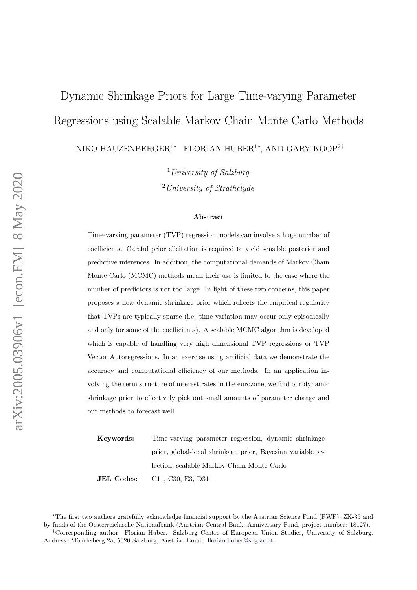# <span id="page-0-0"></span>Dynamic Shrinkage Priors for Large Time-varying Parameter Regressions using Scalable Markov Chain Monte Carlo Methods

NIKO HAUZENBERGER<sup>1</sup>\* FLORIAN HUBER<sup>1</sup>\*, AND GARY KOOP<sup>2†</sup>

 $1$  University of Salzburg <sup>2</sup>University of Strathclyde

#### Abstract

Time-varying parameter (TVP) regression models can involve a huge number of coefficients. Careful prior elicitation is required to yield sensible posterior and predictive inferences. In addition, the computational demands of Markov Chain Monte Carlo (MCMC) methods mean their use is limited to the case where the number of predictors is not too large. In light of these two concerns, this paper proposes a new dynamic shrinkage prior which reflects the empirical regularity that TVPs are typically sparse (i.e. time variation may occur only episodically and only for some of the coefficients). A scalable MCMC algorithm is developed which is capable of handling very high dimensional TVP regressions or TVP Vector Autoregressions. In an exercise using artificial data we demonstrate the accuracy and computational efficiency of our methods. In an application involving the term structure of interest rates in the eurozone, we find our dynamic shrinkage prior to effectively pick out small amounts of parameter change and our methods to forecast well.

Keywords: Time-varying parameter regression, dynamic shrinkage prior, global-local shrinkage prior, Bayesian variable selection, scalable Markov Chain Monte Carlo JEL Codes: C11, C30, E3, D31

<sup>∗</sup>The first two authors gratefully acknowledge financial support by the Austrian Science Fund (FWF): ZK-35 and by funds of the Oesterreichische Nationalbank (Austrian Central Bank, Anniversary Fund, project number: 18127).

<sup>†</sup>Corresponding author: Florian Huber. Salzburg Centre of European Union Studies, University of Salzburg. Address: Mönchsberg 2a, 5020 Salzburg, Austria. Email: [florian.huber@sbg.ac.at.](mailto:florian.huber@sbg.ac.at)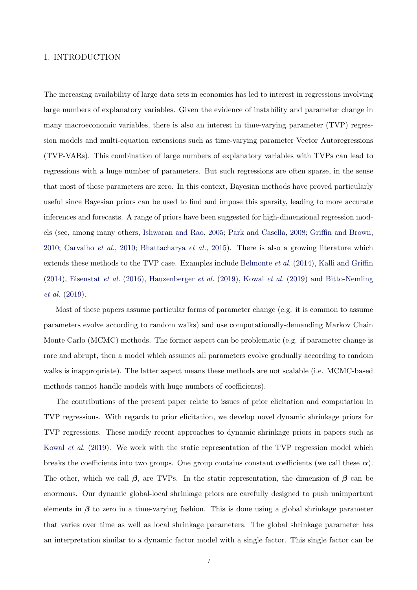# 1. INTRODUCTION

The increasing availability of large data sets in economics has led to interest in regressions involving large numbers of explanatory variables. Given the evidence of instability and parameter change in many macroeconomic variables, there is also an interest in time-varying parameter (TVP) regression models and multi-equation extensions such as time-varying parameter Vector Autoregressions (TVP-VARs). This combination of large numbers of explanatory variables with TVPs can lead to regressions with a huge number of parameters. But such regressions are often sparse, in the sense that most of these parameters are zero. In this context, Bayesian methods have proved particularly useful since Bayesian priors can be used to find and impose this sparsity, leading to more accurate inferences and forecasts. A range of priors have been suggested for high-dimensional regression models (see, among many others, [Ishwaran and Rao,](#page-23-0) [2005;](#page-23-0) [Park and Casella,](#page-23-1) [2008;](#page-23-1) [Griffin and Brown,](#page-23-2) [2010;](#page-23-2) [Carvalho](#page-23-3) et al., [2010;](#page-23-3) [Bhattacharya](#page-23-4) et al., [2015\)](#page-23-4). There is also a growing literature which extends these methods to the TVP case. Examples include [Belmonte](#page-23-5) et al. [\(2014\)](#page-23-5), [Kalli and Griffin](#page-23-6)  $(2014)$ , [Eisenstat](#page-23-7) *et al.*  $(2016)$ , [Hauzenberger](#page-23-8) *et al.*  $(2019)$ , [Kowal](#page-23-9) *et al.*  $(2019)$  and [Bitto-Nemling](#page-23-10) [et al.](#page-23-10) [\(2019\)](#page-23-10).

Most of these papers assume particular forms of parameter change (e.g. it is common to assume parameters evolve according to random walks) and use computationally-demanding Markov Chain Monte Carlo (MCMC) methods. The former aspect can be problematic (e.g. if parameter change is rare and abrupt, then a model which assumes all parameters evolve gradually according to random walks is inappropriate). The latter aspect means these methods are not scalable (i.e. MCMC-based methods cannot handle models with huge numbers of coefficients).

The contributions of the present paper relate to issues of prior elicitation and computation in TVP regressions. With regards to prior elicitation, we develop novel dynamic shrinkage priors for TVP regressions. These modify recent approaches to dynamic shrinkage priors in papers such as [Kowal](#page-23-9) et al. [\(2019\)](#page-23-9). We work with the static representation of the TVP regression model which breaks the coefficients into two groups. One group contains constant coefficients (we call these  $\alpha$ ). The other, which we call  $\beta$ , are TVPs. In the static representation, the dimension of  $\beta$  can be enormous. Our dynamic global-local shrinkage priors are carefully designed to push unimportant elements in  $\beta$  to zero in a time-varying fashion. This is done using a global shrinkage parameter that varies over time as well as local shrinkage parameters. The global shrinkage parameter has an interpretation similar to a dynamic factor model with a single factor. This single factor can be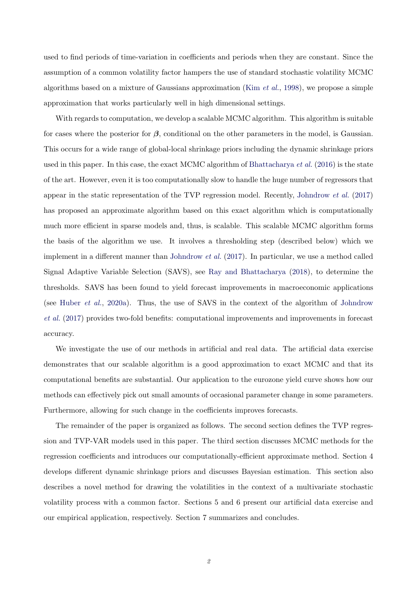used to find periods of time-variation in coefficients and periods when they are constant. Since the assumption of a common volatility factor hampers the use of standard stochastic volatility MCMC algorithms based on a mixture of Gaussians approximation (Kim [et al.](#page-23-11), [1998\)](#page-23-11), we propose a simple approximation that works particularly well in high dimensional settings.

With regards to computation, we develop a scalable MCMC algorithm. This algorithm is suitable for cases where the posterior for  $\beta$ , conditional on the other parameters in the model, is Gaussian. This occurs for a wide range of global-local shrinkage priors including the dynamic shrinkage priors used in this paper. In this case, the exact MCMC algorithm of [Bhattacharya](#page-23-12) *et al.* [\(2016\)](#page-23-12) is the state of the art. However, even it is too computationally slow to handle the huge number of regressors that appear in the static representation of the TVP regression model. Recently, [Johndrow](#page-23-13) et al. [\(2017\)](#page-23-13) has proposed an approximate algorithm based on this exact algorithm which is computationally much more efficient in sparse models and, thus, is scalable. This scalable MCMC algorithm forms the basis of the algorithm we use. It involves a thresholding step (described below) which we implement in a different manner than [Johndrow](#page-23-13) et al. [\(2017\)](#page-23-13). In particular, we use a method called Signal Adaptive Variable Selection (SAVS), see [Ray and Bhattacharya](#page-23-14) [\(2018\)](#page-23-14), to determine the thresholds. SAVS has been found to yield forecast improvements in macroeconomic applications (see [Huber](#page-23-15) et al., [2020a\)](#page-23-15). Thus, the use of SAVS in the context of the algorithm of [Johndrow](#page-23-13) [et al.](#page-23-13) [\(2017\)](#page-23-13) provides two-fold benefits: computational improvements and improvements in forecast accuracy.

We investigate the use of our methods in artificial and real data. The artificial data exercise demonstrates that our scalable algorithm is a good approximation to exact MCMC and that its computational benefits are substantial. Our application to the eurozone yield curve shows how our methods can effectively pick out small amounts of occasional parameter change in some parameters. Furthermore, allowing for such change in the coefficients improves forecasts.

The remainder of the paper is organized as follows. The second section defines the TVP regression and TVP-VAR models used in this paper. The third section discusses MCMC methods for the regression coefficients and introduces our computationally-efficient approximate method. Section 4 develops different dynamic shrinkage priors and discusses Bayesian estimation. This section also describes a novel method for drawing the volatilities in the context of a multivariate stochastic volatility process with a common factor. Sections 5 and 6 present our artificial data exercise and our empirical application, respectively. Section 7 summarizes and concludes.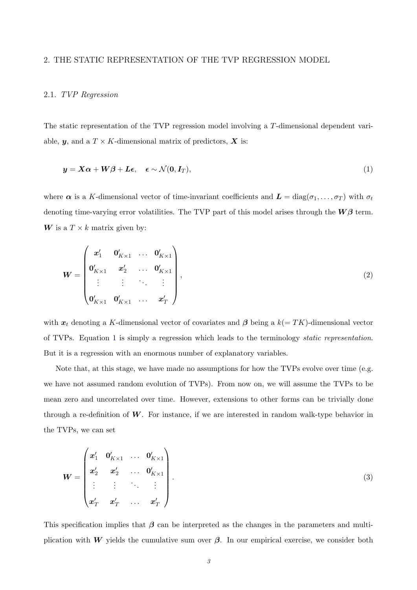## 2. THE STATIC REPRESENTATION OF THE TVP REGRESSION MODEL

## 2.1. TVP Regression

The static representation of the TVP regression model involving a T-dimensional dependent variable,  $y$ , and a  $T \times K$ -dimensional matrix of predictors,  $X$  is:

<span id="page-3-0"></span>
$$
\mathbf{y} = \mathbf{X}\boldsymbol{\alpha} + \mathbf{W}\boldsymbol{\beta} + \mathbf{L}\boldsymbol{\epsilon}, \quad \boldsymbol{\epsilon} \sim \mathcal{N}(\mathbf{0}, \mathbf{I}_T), \tag{1}
$$

where  $\alpha$  is a K-dimensional vector of time-invariant coefficients and  $\boldsymbol{L} = diag(\sigma_1, \ldots, \sigma_T)$  with  $\sigma_t$ denoting time-varying error volatilities. The TVP part of this model arises through the  $W\beta$  term. W is a  $T \times k$  matrix given by:

<span id="page-3-1"></span>
$$
\boldsymbol{W} = \begin{pmatrix} \boldsymbol{x}'_1 & \boldsymbol{0}'_{K \times 1} & \dots & \boldsymbol{0}'_{K \times 1} \\ \boldsymbol{0}'_{K \times 1} & \boldsymbol{x}'_2 & \dots & \boldsymbol{0}'_{K \times 1} \\ \vdots & \vdots & \ddots & \vdots \\ \boldsymbol{0}'_{K \times 1} & \boldsymbol{0}'_{K \times 1} & \dots & \boldsymbol{x}'_T \end{pmatrix},
$$
(2)

with  $x_t$  denoting a K-dimensional vector of covariates and  $\beta$  being a  $k(=TK)$ -dimensional vector of TVPs. Equation [1](#page-3-0) is simply a regression which leads to the terminology static representation. But it is a regression with an enormous number of explanatory variables.

Note that, at this stage, we have made no assumptions for how the TVPs evolve over time (e.g. we have not assumed random evolution of TVPs). From now on, we will assume the TVPs to be mean zero and uncorrelated over time. However, extensions to other forms can be trivially done through a re-definition of  $W$ . For instance, if we are interested in random walk-type behavior in the TVPs, we can set

<span id="page-3-2"></span>
$$
\boldsymbol{W} = \begin{pmatrix} \boldsymbol{x}_1' & \boldsymbol{0}_{K \times 1}' & \dots & \boldsymbol{0}_{K \times 1}' \\ \boldsymbol{x}_2' & \boldsymbol{x}_2' & \dots & \boldsymbol{0}_{K \times 1}' \\ \vdots & \vdots & \ddots & \vdots \\ \boldsymbol{x}_T' & \boldsymbol{x}_T' & \dots & \boldsymbol{x}_T' \end{pmatrix} .
$$
 (3)

This specification implies that  $\beta$  can be interpreted as the changes in the parameters and multiplication with W yields the cumulative sum over  $\beta$ . In our empirical exercise, we consider both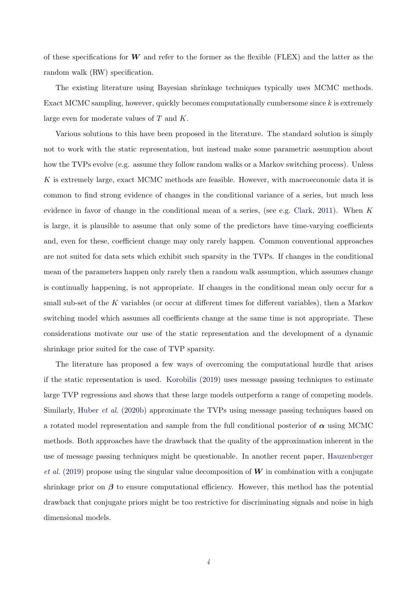of these specifications for  $W$  and refer to the former as the flexible (FLEX) and the latter as the random walk (RW) specification.

The existing literature using Bayesian shrinkage techniques typically uses MCMC methods. Exact MCMC sampling, however, quickly becomes computationally cumbersome since k is extremely large even for moderate values of T and K.

Various solutions to this have been proposed in the literature. The standard solution is simply not to work with the static representation, but instead make some parametric assumption about how the TVPs evolve (e.g. assume they follow random walks or a Markov switching process). Unless K is extremely large, exact MCMC methods are feasible. However, with macroeconomic data it is common to find strong evidence of changes in the conditional variance of a series, but much less evidence in favor of change in the conditional mean of a series, (see e.g. [Clark,](#page-23-16) [2011\)](#page-23-16). When  $K$ is large, it is plausible to assume that only some of the predictors have time-varying coefficients and, even for these, coefficient change may only rarely happen. Common conventional approaches are not suited for data sets which exhibit such sparsity in the TVPs. If changes in the conditional mean of the parameters happen only rarely then a random walk assumption, which assumes change is continually happening, is not appropriate. If changes in the conditional mean only occur for a small sub-set of the K variables (or occur at different times for different variables), then a Markov switching model which assumes all coefficients change at the same time is not appropriate. These considerations motivate our use of the static representation and the development of a dynamic shrinkage prior suited for the case of TVP sparsity.

The literature has proposed a few ways of overcoming the computational hurdle that arises if the static representation is used. [Korobilis](#page-23-17) [\(2019\)](#page-23-17) uses message passing techniques to estimate large TVP regressions and shows that these large models outperform a range of competing models. Similarly, [Huber](#page-23-18) et al. [\(2020b\)](#page-23-18) approximate the TVPs using message passing techniques based on a rotated model representation and sample from the full conditional posterior of  $\alpha$  using MCMC methods. Both approaches have the drawback that the quality of the approximation inherent in the use of message passing techniques might be questionable. In another recent paper, [Hauzenberger](#page-23-8) [et al.](#page-23-8) [\(2019\)](#page-23-8) propose using the singular value decomposition of W in combination with a conjugate shrinkage prior on  $\beta$  to ensure computational efficiency. However, this method has the potential drawback that conjugate priors might be too restrictive for discriminating signals and noise in high dimensional models.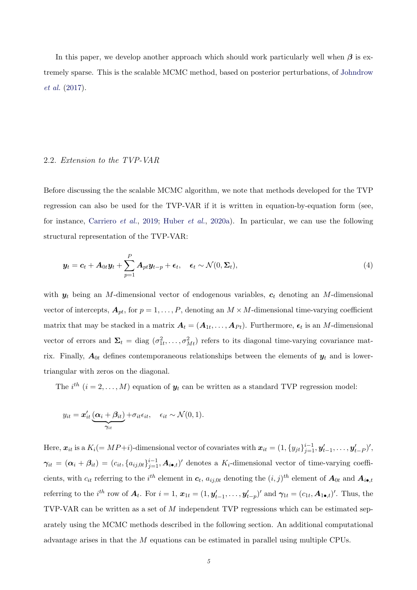In this paper, we develop another approach which should work particularly well when  $\beta$  is extremely sparse. This is the scalable MCMC method, based on posterior perturbations, of [Johndrow](#page-23-13) [et al.](#page-23-13) [\(2017\)](#page-23-13).

# 2.2. Extension to the TVP-VAR

Before discussing the the scalable MCMC algorithm, we note that methods developed for the TVP regression can also be used for the TVP-VAR if it is written in equation-by-equation form (see, for instance, [Carriero](#page-23-19) et al., [2019;](#page-23-19) [Huber](#page-23-15) et al., [2020a\)](#page-23-15). In particular, we can use the following structural representation of the TVP-VAR:

<span id="page-5-0"></span>
$$
\mathbf{y}_t = \mathbf{c}_t + \mathbf{A}_{0t} \mathbf{y}_t + \sum_{p=1}^P \mathbf{A}_{pt} \mathbf{y}_{t-p} + \boldsymbol{\epsilon}_t, \quad \boldsymbol{\epsilon}_t \sim \mathcal{N}(0, \boldsymbol{\Sigma}_t), \tag{4}
$$

with  $y_t$  being an M-dimensional vector of endogenous variables,  $c_t$  denoting an M-dimensional vector of intercepts,  $A_{pt}$ , for  $p = 1, \ldots, P$ , denoting an  $M \times M$ -dimensional time-varying coefficient matrix that may be stacked in a matrix  $A_t = (A_{1t}, \ldots, A_{Pt})$ . Furthermore,  $\epsilon_t$  is an M-dimensional vector of errors and  $\Sigma_t = \text{diag}(\sigma_{1t}^2, \ldots, \sigma_{Mt}^2)$  refers to its diagonal time-varying covariance matrix. Finally,  $A_{0t}$  defines contemporaneous relationships between the elements of  $y_t$  and is lowertriangular with zeros on the diagonal.

The  $i^{th}$   $(i = 2, \ldots, M)$  equation of  $y_t$  can be written as a standard TVP regression model:

$$
y_{it} = \boldsymbol{x}'_{it} \underbrace{(\boldsymbol{\alpha}_i + \boldsymbol{\beta}_{it})}_{\gamma_{it}} + \sigma_{it} \epsilon_{it}, \quad \epsilon_{it} \sim \mathcal{N}(0, 1).
$$

Here,  $\boldsymbol{x}_{it}$  is a  $K_i (= MP+i)$ -dimensional vector of covariates with  $\boldsymbol{x}_{it} = (1, \{y_{jt}\}_{j=1}^{i-1}, \boldsymbol{y}'_{t-1}, \dots, \boldsymbol{y}'_{t-P})'$ ,  $\gamma_{it} = (\alpha_i + \beta_{it}) = (c_{it}, \{a_{ij,0t}\}_{j=1}^{i-1}, A_{i\bullet,t})'$  denotes a  $K_i$ -dimensional vector of time-varying coefficients, with  $c_{it}$  referring to the  $i^{th}$  element in  $c_t$ ,  $a_{ij,0t}$  denoting the  $(i, j)^{th}$  element of  $A_{0t}$  and  $A_{i\bullet, t}$ referring to the *i*<sup>th</sup> row of  $A_t$ . For  $i = 1$ ,  $x_{1t} = (1, y'_{t-1}, \ldots, y'_{t-p})'$  and  $\gamma_{1t} = (c_{1t}, A_{1\bullet,t})'$ . Thus, the TVP-VAR can be written as a set of M independent TVP regressions which can be estimated separately using the MCMC methods described in the following section. An additional computational advantage arises in that the M equations can be estimated in parallel using multiple CPUs.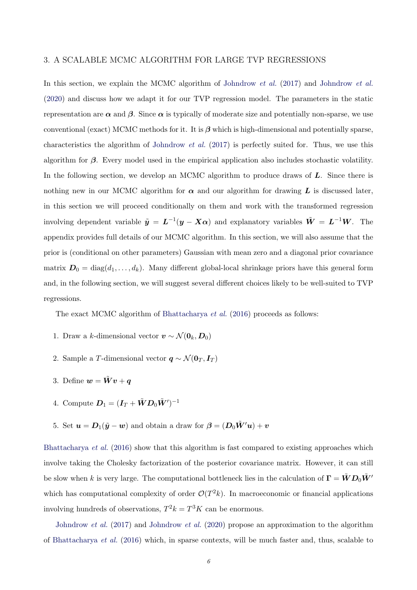#### 3. A SCALABLE MCMC ALGORITHM FOR LARGE TVP REGRESSIONS

In this section, we explain the MCMC algorithm of [Johndrow](#page-23-20) *et al.* [\(2017\)](#page-23-13) and Johndrow *et al.* [\(2020\)](#page-23-20) and discuss how we adapt it for our TVP regression model. The parameters in the static representation are  $\alpha$  and  $\beta$ . Since  $\alpha$  is typically of moderate size and potentially non-sparse, we use conventional (exact) MCMC methods for it. It is  $\beta$  which is high-dimensional and potentially sparse. characteristics the algorithm of [Johndrow](#page-23-13) *et al.* [\(2017\)](#page-23-13) is perfectly suited for. Thus, we use this algorithm for  $\beta$ . Every model used in the empirical application also includes stochastic volatility. In the following section, we develop an MCMC algorithm to produce draws of  $L$ . Since there is nothing new in our MCMC algorithm for  $\alpha$  and our algorithm for drawing  $L$  is discussed later, in this section we will proceed conditionally on them and work with the transformed regression involving dependent variable  $\tilde{y} = L^{-1}(y - X\alpha)$  and explanatory variables  $\tilde{W} = L^{-1}W$ . The appendix provides full details of our MCMC algorithm. In this section, we will also assume that the prior is (conditional on other parameters) Gaussian with mean zero and a diagonal prior covariance matrix  $D_0 = \text{diag}(d_1, \ldots, d_k)$ . Many different global-local shrinkage priors have this general form and, in the following section, we will suggest several different choices likely to be well-suited to TVP regressions.

The exact MCMC algorithm of [Bhattacharya](#page-23-12) *et al.* [\(2016\)](#page-23-12) proceeds as follows:

- 1. Draw a k-dimensional vector  $\mathbf{v} \sim \mathcal{N}(\mathbf{0}_k, \mathbf{D}_0)$
- 2. Sample a T-dimensional vector  $q \sim \mathcal{N}(\mathbf{0}_T, \mathbf{I}_T)$
- 3. Define  $w = \tilde{W}v + q$
- 4. Compute  $\boldsymbol{D}_1 = (\boldsymbol{I}_T + \boldsymbol{\tilde{W}} \boldsymbol{D}_0 \boldsymbol{\tilde{W}}')^{-1}$
- 5. Set  $u = D_1(\tilde{y} w)$  and obtain a draw for  $\beta = (D_0 \tilde{W}' u) + v$

[Bhattacharya](#page-23-12) et al. [\(2016\)](#page-23-12) show that this algorithm is fast compared to existing approaches which involve taking the Cholesky factorization of the posterior covariance matrix. However, it can still be slow when k is very large. The computational bottleneck lies in the calculation of  $\Gamma = \tilde{W} D_0 \tilde{W}'$ which has computational complexity of order  $\mathcal{O}(T^2k)$ . In macroeconomic or financial applications involving hundreds of observations,  $T^2k = T^3K$  can be enormous.

[Johndrow](#page-23-20) et al. [\(2017\)](#page-23-13) and Johndrow et al. [\(2020\)](#page-23-20) propose an approximation to the algorithm of [Bhattacharya](#page-23-12) et al. [\(2016\)](#page-23-12) which, in sparse contexts, will be much faster and, thus, scalable to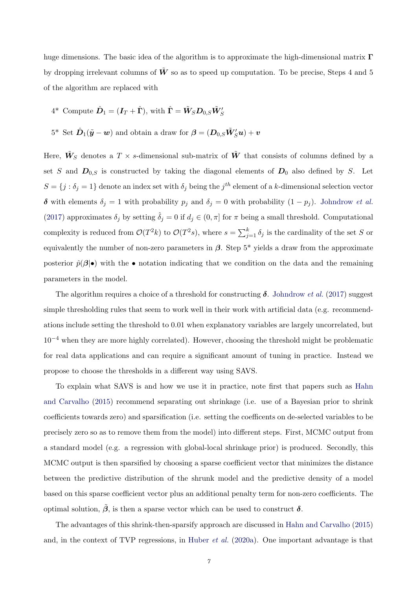huge dimensions. The basic idea of the algorithm is to approximate the high-dimensional matrix  $\Gamma$ by dropping irrelevant columns of  $\tilde{W}$  so as to speed up computation. To be precise, Steps 4 and 5 of the algorithm are replaced with

- $4^*$  Compute  $\hat{\mathbf{D}}_1 = (\mathbf{I}_T + \hat{\mathbf{\Gamma}})$ , with  $\hat{\mathbf{\Gamma}} = \tilde{\mathbf{W}}_{S} \mathbf{D}_{0,S} \tilde{\mathbf{W}}'_{S}$
- $5^*$  Set  $\hat{\bm{D}}_1(\tilde{\bm{y}} \bm{w})$  and obtain a draw for  $\bm{\beta} = (\bm{D}_{0,S} \tilde{\bm{W}}_S' \bm{u}) + \bm{v}$

Here,  $\tilde{W}_S$  denotes a  $T \times s$ -dimensional sub-matrix of  $\tilde{W}$  that consists of columns defined by a set S and  $D_{0,S}$  is constructed by taking the diagonal elements of  $D_0$  also defined by S. Let  $S = \{j : \delta_j = 1\}$  denote an index set with  $\delta_j$  being the  $j<sup>th</sup>$  element of a k-dimensional selection vector δ with elements  $δ_j = 1$  with probability  $p_j$  and  $δ_j = 0$  with probability  $(1 - p_j)$ . [Johndrow](#page-23-13) *et al.* [\(2017\)](#page-23-13) approximates  $\delta_j$  by setting  $\hat{\delta}_j = 0$  if  $d_j \in (0, \pi]$  for  $\pi$  being a small threshold. Computational complexity is reduced from  $\mathcal{O}(T^2k)$  to  $\mathcal{O}(T^2s)$ , where  $s = \sum_{j=1}^k \delta_j$  is the cardinality of the set S or equivalently the number of non-zero parameters in  $\beta$ . Step 5<sup>\*</sup> yields a draw from the approximate posterior  $\hat{p}(\beta|\bullet)$  with the  $\bullet$  notation indicating that we condition on the data and the remaining parameters in the model.

The algorithm requires a choice of a threshold for constructing  $\delta$ . [Johndrow](#page-23-13) *et al.* [\(2017\)](#page-23-13) suggest simple thresholding rules that seem to work well in their work with artificial data (e.g. recommendations include setting the threshold to 0.01 when explanatory variables are largely uncorrelated, but  $10^{-4}$  when they are more highly correlated). However, choosing the threshold might be problematic for real data applications and can require a significant amount of tuning in practice. Instead we propose to choose the thresholds in a different way using SAVS.

To explain what SAVS is and how we use it in practice, note first that papers such as [Hahn](#page-23-21) [and Carvalho](#page-23-21) [\(2015\)](#page-23-21) recommend separating out shrinkage (i.e. use of a Bayesian prior to shrink coefficients towards zero) and sparsification (i.e. setting the coefficents on de-selected variables to be precisely zero so as to remove them from the model) into different steps. First, MCMC output from a standard model (e.g. a regression with global-local shrinkage prior) is produced. Secondly, this MCMC output is then sparsified by choosing a sparse coefficient vector that minimizes the distance between the predictive distribution of the shrunk model and the predictive density of a model based on this sparse coefficient vector plus an additional penalty term for non-zero coefficients. The optimal solution,  $\tilde{\beta}$ , is then a sparse vector which can be used to construct  $\delta$ .

The advantages of this shrink-then-sparsify approach are discussed in [Hahn and Carvalho](#page-23-21) [\(2015\)](#page-23-21) and, in the context of TVP regressions, in [Huber](#page-23-15) et al. [\(2020a\)](#page-23-15). One important advantage is that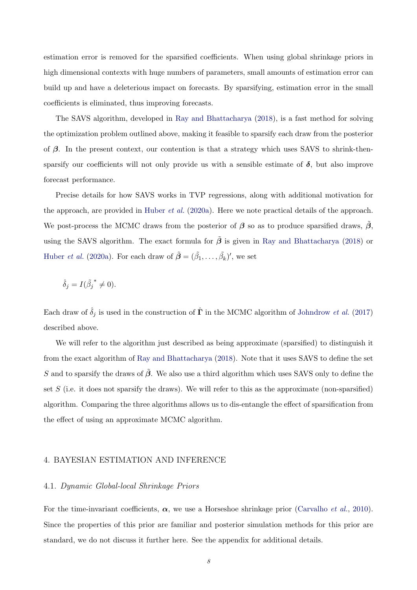estimation error is removed for the sparsified coefficients. When using global shrinkage priors in high dimensional contexts with huge numbers of parameters, small amounts of estimation error can build up and have a deleterious impact on forecasts. By sparsifying, estimation error in the small coefficients is eliminated, thus improving forecasts.

The SAVS algorithm, developed in [Ray and Bhattacharya](#page-23-14) [\(2018\)](#page-23-14), is a fast method for solving the optimization problem outlined above, making it feasible to sparsify each draw from the posterior of  $\beta$ . In the present context, our contention is that a strategy which uses SAVS to shrink-thensparsify our coefficients will not only provide us with a sensible estimate of  $\delta$ , but also improve forecast performance.

Precise details for how SAVS works in TVP regressions, along with additional motivation for the approach, are provided in [Huber](#page-23-15) et al. [\(2020a\)](#page-23-15). Here we note practical details of the approach. We post-process the MCMC draws from the posterior of  $\beta$  so as to produce sparsified draws,  $\beta$ , using the SAVS algorithm. The exact formula for  $\tilde{\beta}$  is given in [Ray and Bhattacharya](#page-23-14) [\(2018\)](#page-23-14) or [Huber](#page-23-15) *et al.* [\(2020a\)](#page-23-15). For each draw of  $\tilde{\boldsymbol{\beta}} = (\tilde{\beta}_1, \ldots, \tilde{\beta}_k)'$ , we set

$$
\hat{\delta}_j = I(\tilde{\beta_j}^* \neq 0).
$$

Each draw of  $\hat{\delta}_j$  is used in the construction of  $\hat{\mathbf{\Gamma}}$  in the MCMC algorithm of [Johndrow](#page-23-13) *et al.* [\(2017\)](#page-23-13) described above.

We will refer to the algorithm just described as being approximate (sparsified) to distinguish it from the exact algorithm of [Ray and Bhattacharya](#page-23-14) [\(2018\)](#page-23-14). Note that it uses SAVS to define the set S and to sparsify the draws of  $\tilde{\beta}$ . We also use a third algorithm which uses SAVS only to define the set  $S$  (i.e. it does not sparsify the draws). We will refer to this as the approximate (non-sparsified) algorithm. Comparing the three algorithms allows us to dis-entangle the effect of sparsification from the effect of using an approximate MCMC algorithm.

# 4. BAYESIAN ESTIMATION AND INFERENCE

## <span id="page-8-0"></span>4.1. Dynamic Global-local Shrinkage Priors

For the time-invariant coefficients,  $\alpha$ , we use a Horseshoe shrinkage prior [\(Carvalho](#page-23-3) *et al.*, [2010\)](#page-23-3). Since the properties of this prior are familiar and posterior simulation methods for this prior are standard, we do not discuss it further here. See the appendix for additional details.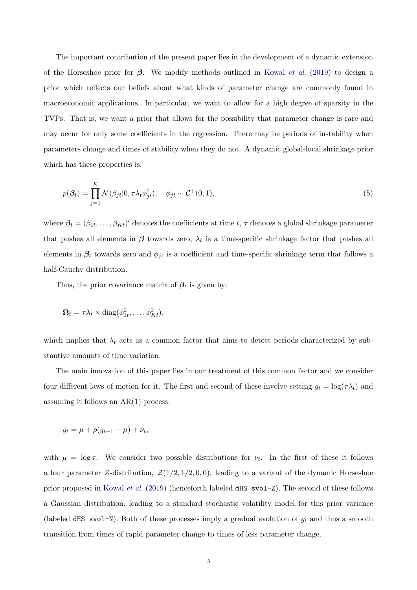The important contribution of the present paper lies in the development of a dynamic extension of the Horseshoe prior for  $\beta$ . We modify methods outlined in [Kowal](#page-23-9) *et al.* [\(2019\)](#page-23-9) to design a prior which reflects our beliefs about what kinds of parameter change are commonly found in macroeconomic applications. In particular, we want to allow for a high degree of sparsity in the TVPs. That is, we want a prior that allows for the possibility that parameter change is rare and may occur for only some coefficients in the regression. There may be periods of instability when parameters change and times of stability when they do not. A dynamic global-local shrinkage prior which has these properties is:

<span id="page-9-0"></span>
$$
p(\beta_t) = \prod_{j=1}^K \mathcal{N}(\beta_{jt} | 0, \tau \lambda_t \phi_{jt}^2), \quad \phi_{jt} \sim \mathcal{C}^+(0, 1),
$$
\n
$$
(5)
$$

where  $\beta_t = (\beta_{1t}, \ldots, \beta_{Kt})'$  denotes the coefficients at time t,  $\tau$  denotes a global shrinkage parameter that pushes all elements in  $\beta$  towards zero,  $\lambda_t$  is a time-specific shrinkage factor that pushes all elements in  $\beta_t$  towards zero and  $\phi_{jt}$  is a coefficient and time-specific shrinkage term that follows a half-Cauchy distribution.

Thus, the prior covariance matrix of  $\beta_t$  is given by:

$$
\Omega_t = \tau \lambda_t \times \text{diag}(\phi_{1t}^2, \dots, \phi_{Kt}^2),
$$

which implies that  $\lambda_t$  acts as a common factor that aims to detect periods characterized by substantive amounts of time variation.

The main innovation of this paper lies in our treatment of this common factor and we consider four different laws of motion for it. The first and second of these involve setting  $g_t = \log(\tau \lambda_t)$  and assuming it follows an  $AR(1)$  process:

$$
g_t = \mu + \rho(g_{t-1} - \mu) + \nu_t,
$$

with  $\mu = \log \tau$ . We consider two possible distributions for  $\nu_t$ . In the first of these it follows a four parameter Z-distribution,  $\mathcal{Z}(1/2, 1/2, 0, 0)$ , leading to a variant of the dynamic Horseshoe prior proposed in [Kowal](#page-23-9) *et al.* [\(2019\)](#page-23-9) (henceforth labeled dHS  $svol-Z$ ). The second of these follows a Gaussian distribution, leading to a standard stochastic volatility model for this prior variance (labeled dHS svol-N). Both of these processes imply a gradual evolution of  $g_t$  and thus a smooth transition from times of rapid parameter change to times of less parameter change.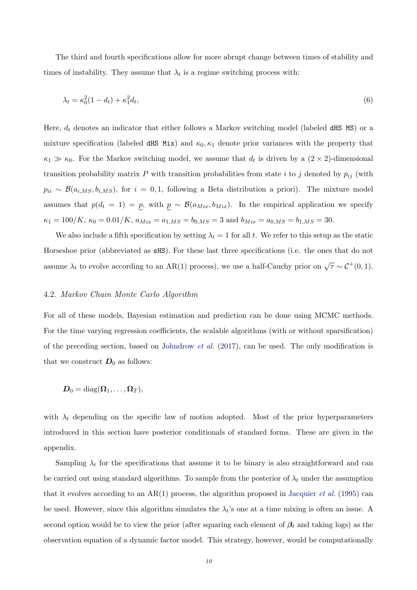The third and fourth specifications allow for more abrupt change between times of stability and times of instability. They assume that  $\lambda_t$  is a regime switching process with:

<span id="page-10-0"></span>
$$
\lambda_t = \kappa_0^2 (1 - d_t) + \kappa_1^2 d_t,\tag{6}
$$

Here,  $d_t$  denotes an indicator that either follows a Markov switching model (labeled dHS MS) or a mixture specification (labeled dHS Mix) and  $\kappa_0, \kappa_1$  denote prior variances with the property that  $\kappa_1 \gg \kappa_0$ . For the Markov switching model, we assume that  $d_t$  is driven by a  $(2 \times 2)$ -dimensional transition probability matrix  $P$  with transition probabilities from state i to j denoted by  $p_{ij}$  (with  $p_{ii} \sim \mathcal{B}(a_{i,MS}, b_{i,MS})$ , for  $i = 0, 1$ , following a Beta distribution a priori). The mixture model assumes that  $p(d_t = 1) = p$ , with  $p \sim B(a_{Mix}, b_{Mix})$ . In the empirical application we specify  $\kappa_1 = 100/K$ ,  $\kappa_0 = 0.01/K$ ,  $a_{Mix} = a_{1,MS} = b_{0,MS} = 3$  and  $b_{Mix} = a_{0,MS} = b_{1,MS} = 30$ .

We also include a fifth specification by setting  $\lambda_t = 1$  for all t. We refer to this setup as the static Horseshoe prior (abbreviated as sHS). For these last three specifications (i.e. the ones that do not assume  $\lambda_t$  to evolve according to an AR(1) process), we use a half-Cauchy prior on  $\sqrt{\tau} \sim C^+(0,1)$ .

#### 4.2. Markov Chain Monte Carlo Algorithm

For all of these models, Bayesian estimation and prediction can be done using MCMC methods. For the time varying regression coefficients, the scalable algorithms (with or without sparsification) of the preceding section, based on [Johndrow](#page-23-13) *et al.* [\(2017\)](#page-23-13), can be used. The only modification is that we construct  $D_0$  as follows:

$$
\boldsymbol{D}_0 = \mathrm{diag}(\boldsymbol{\Omega}_1, \ldots, \boldsymbol{\Omega}_T),
$$

with  $\lambda_t$  depending on the specific law of motion adopted. Most of the prior hyperparameters introduced in this section have posterior conditionals of standard forms. These are given in the appendix.

Sampling  $\lambda_t$  for the specifications that assume it to be binary is also straightforward and can be carried out using standard algorithms. To sample from the posterior of  $\lambda_t$  under the assumption that it evolves according to an  $AR(1)$  process, the algorithm proposed in [Jacquier](#page-23-22) *et al.* [\(1995\)](#page-23-22) can be used. However, since this algorithm simulates the  $\lambda_t$ 's one at a time mixing is often an issue. A second option would be to view the prior (after squaring each element of  $\beta_t$  and taking logs) as the observation equation of a dynamic factor model. This strategy, however, would be computationally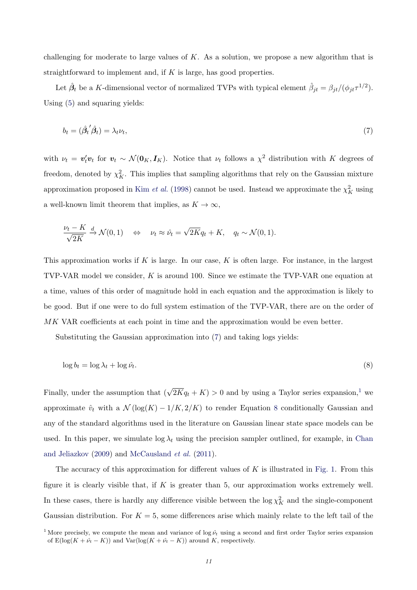challenging for moderate to large values of  $K$ . As a solution, we propose a new algorithm that is straightforward to implement and, if  $K$  is large, has good properties.

Let  $\hat{\beta}_t$  be a K-dimensional vector of normalized TVPs with typical element  $\hat{\beta}_{jt} = \beta_{jt}/(\phi_{jt}\tau^{1/2})$ . Using [\(5\)](#page-9-0) and squaring yields:

<span id="page-11-0"></span>
$$
b_t = (\hat{\beta}_t' \hat{\beta}_t) = \lambda_t \nu_t,\tag{7}
$$

with  $\nu_t = v'_t v_t$  for  $v_t \sim \mathcal{N}(\mathbf{0}_K, \mathbf{I}_K)$ . Notice that  $\nu_t$  follows a  $\chi^2$  distribution with K degrees of freedom, denoted by  $\chi^2_K$ . This implies that sampling algorithms that rely on the Gaussian mixture approximation proposed in Kim *[et al.](#page-23-11)* [\(1998\)](#page-23-11) cannot be used. Instead we approximate the  $\chi^2_K$  using a well-known limit theorem that implies, as  $K \to \infty$ ,

$$
\frac{\nu_t - K}{\sqrt{2K}} \xrightarrow{d} \mathcal{N}(0, 1) \quad \Leftrightarrow \quad \nu_t \approx \hat{\nu_t} = \sqrt{2K}q_t + K, \quad q_t \sim \mathcal{N}(0, 1).
$$

This approximation works if  $K$  is large. In our case,  $K$  is often large. For instance, in the largest TVP-VAR model we consider, K is around 100. Since we estimate the TVP-VAR one equation at a time, values of this order of magnitude hold in each equation and the approximation is likely to be good. But if one were to do full system estimation of the TVP-VAR, there are on the order of MK VAR coefficients at each point in time and the approximation would be even better.

Substituting the Gaussian approximation into [\(7\)](#page-11-0) and taking logs yields:

<span id="page-11-1"></span>
$$
\log b_t = \log \lambda_t + \log \hat{\nu}_t. \tag{8}
$$

Finally, under the assumption that  $(\sqrt{2K}q_t + K) > 0$  and by using a Taylor series expansion,<sup>[1](#page-0-0)</sup> we approximate  $\hat{v}_t$  with a  $\mathcal{N}(\log(K) - 1/K, 2/K)$  to render Equation [8](#page-11-1) conditionally Gaussian and any of the standard algorithms used in the literature on Gaussian linear state space models can be used. In this paper, we simulate  $\log \lambda_t$  using the precision sampler outlined, for example, in [Chan](#page-23-23) [and Jeliazkov](#page-23-23) [\(2009\)](#page-23-23) and [McCausland](#page-23-24) et al. [\(2011\)](#page-23-24).

The accuracy of this approximation for different values of  $K$  is illustrated in [Fig. 1.](#page-12-0) From this figure it is clearly visible that, if  $K$  is greater than 5, our approximation works extremely well. In these cases, there is hardly any difference visible between the  $\log \chi^2$  and the single-component Gaussian distribution. For  $K = 5$ , some differences arise which mainly relate to the left tail of the

<sup>&</sup>lt;sup>1</sup> More precisely, we compute the mean and variance of log  $\hat{\nu}_t$  using a second and first order Taylor series expansion of  $E(\log(K + \hat{\nu}_t - K))$  and  $Var(\log(K + \hat{\nu}_t - K))$  around K, respectively.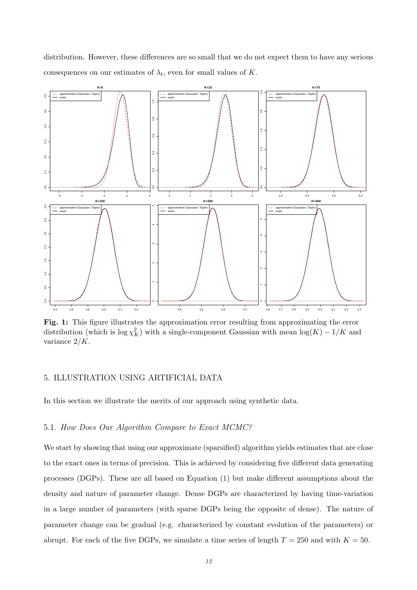distribution. However, these differences are so small that we do not expect them to have any serious consequences on our estimates of  $\lambda_t$ , even for small values of K.

<span id="page-12-0"></span>

Fig. 1: This figure illustrates the approximation error resulting from approximating the error distribution (which is  $\log \chi^2$ ) with a single-component Gaussian with mean  $\log(K) - 1/K$  and variance 2/K.

# 5. ILLUSTRATION USING ARTIFICIAL DATA

In this section we illustrate the merits of our approach using synthetic data.

## 5.1. How Does Our Algorithm Compare to Exact MCMC?

We start by showing that using our approximate (sparsified) algorithm yields estimates that are close to the exact ones in terms of precision. This is achieved by considering five different data generating processes (DGPs). These are all based on Equation [\(1\)](#page-3-0) but make different assumptions about the density and nature of parameter change. Dense DGPs are characterized by having time-variation in a large number of parameters (with sparse DGPs being the opposite of dense). The nature of parameter change can be gradual (e.g. characterized by constant evolution of the parameters) or abrupt. For each of the five DGPs, we simulate a time series of length  $T = 250$  and with  $K = 50$ .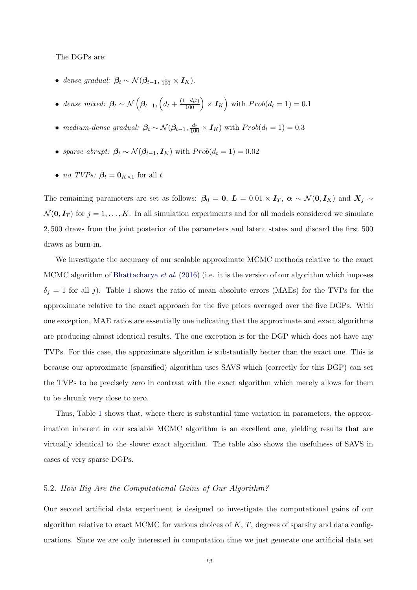The DGPs are:

- dense gradual:  $\beta_t \sim \mathcal{N}(\beta_{t-1}, \frac{1}{100} \times I_K)$ .
- dense mixed:  $\beta_t \sim \mathcal{N}\left(\beta_{t-1}, \left(d_t + \frac{(1-d_t t)}{100}\right) \times I_K\right)$  with  $Prob(d_t = 1) = 0.1$
- medium-dense gradual:  $\beta_t \sim \mathcal{N}(\beta_{t-1}, \frac{d_t}{100} \times I_K)$  with  $Prob(d_t = 1) = 0.3$
- sparse abrupt:  $\beta_t \sim \mathcal{N}(\beta_{t-1}, I_K)$  with  $Prob(d_t = 1) = 0.02$
- *no TVPs:*  $\beta_t = 0_{K \times 1}$  for all t

The remaining parameters are set as follows:  $\beta_0 = 0$ ,  $L = 0.01 \times I_T$ ,  $\alpha \sim \mathcal{N}(0, I_K)$  and  $X_j \sim$  $\mathcal{N}(\mathbf{0}, \mathbf{I}_T)$  for  $j = 1, \ldots, K$ . In all simulation experiments and for all models considered we simulate 2, 500 draws from the joint posterior of the parameters and latent states and discard the first 500 draws as burn-in.

We investigate the accuracy of our scalable approximate MCMC methods relative to the exact MCMC algorithm of [Bhattacharya](#page-23-12) et al. [\(2016\)](#page-23-12) (i.e. it is the version of our algorithm which imposes  $\delta_j = 1$  $\delta_j = 1$  for all j). Table 1 shows the ratio of mean absolute errors (MAEs) for the TVPs for the approximate relative to the exact approach for the five priors averaged over the five DGPs. With one exception, MAE ratios are essentially one indicating that the approximate and exact algorithms are producing almost identical results. The one exception is for the DGP which does not have any TVPs. For this case, the approximate algorithm is substantially better than the exact one. This is because our approximate (sparsified) algorithm uses SAVS which (correctly for this DGP) can set the TVPs to be precisely zero in contrast with the exact algorithm which merely allows for them to be shrunk very close to zero.

Thus, Table [1](#page-14-0) shows that, where there is substantial time variation in parameters, the approximation inherent in our scalable MCMC algorithm is an excellent one, yielding results that are virtually identical to the slower exact algorithm. The table also shows the usefulness of SAVS in cases of very sparse DGPs.

# 5.2. How Big Are the Computational Gains of Our Algorithm?

Our second artificial data experiment is designed to investigate the computational gains of our algorithm relative to exact MCMC for various choices of  $K, T$ , degrees of sparsity and data configurations. Since we are only interested in computation time we just generate one artificial data set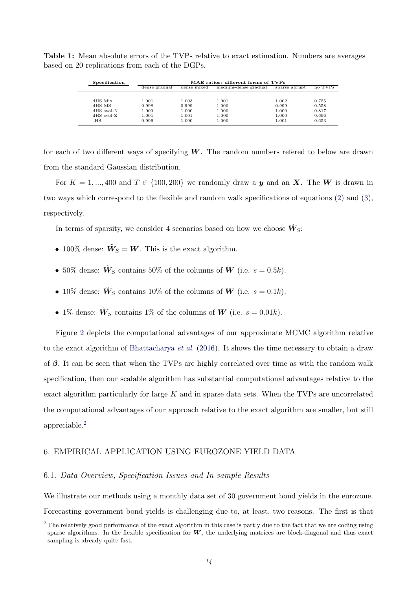| Specification | MAE ratios: different forms of TVPs |             |                      |               |         |  |  |  |  |  |  |  |
|---------------|-------------------------------------|-------------|----------------------|---------------|---------|--|--|--|--|--|--|--|
|               | dense gradual                       | dense mixed | medium-dense gradual | sparse abrupt | no TVPs |  |  |  |  |  |  |  |
|               |                                     |             |                      |               |         |  |  |  |  |  |  |  |
| dHS Mix       | 1.001                               | 1.003       | 1.001                | 1.002         | 0.755   |  |  |  |  |  |  |  |
| dHS MS        | 0.998                               | 0.999       | 1.000                | 0.999         | 0.558   |  |  |  |  |  |  |  |
| dHS svol-N    | 1.000                               | 1.000       | 1.000                | 1.000         | 0.817   |  |  |  |  |  |  |  |
| $HSS$ svol-Z  | 1.001                               | 1.001       | 1.000                | 1.000         | 0.696   |  |  |  |  |  |  |  |
| sHS           | 0.999                               | 1.000       | 1.000                | 1.001         | 0.653   |  |  |  |  |  |  |  |
|               |                                     |             |                      |               |         |  |  |  |  |  |  |  |

<span id="page-14-0"></span>Table 1: Mean absolute errors of the TVPs relative to exact estimation. Numbers are averages based on 20 replications from each of the DGPs.

for each of two different ways of specifying  $W$ . The random numbers refered to below are drawn from the standard Gaussian distribution.

For  $K = 1, ..., 400$  and  $T \in \{100, 200\}$  we randomly draw a y and an X. The W is drawn in two ways which correspond to the flexible and random walk specifications of equations [\(2\)](#page-3-1) and [\(3\)](#page-3-2), respectively.

In terms of sparsity, we consider 4 scenarios based on how we choose  $\tilde{W}_S$ :

- 100% dense:  $\tilde{W}_S = W$ . This is the exact algorithm.
- 50% dense:  $\tilde{\mathbf{W}}_S$  contains 50% of the columns of  $\mathbf{W}$  (i.e.  $s = 0.5k$ ).
- 10% dense:  $\tilde{\mathbf{W}}_S$  contains 10% of the columns of **W** (i.e.  $s = 0.1k$ ).
- 1% dense:  $\tilde{W}_S$  contains 1% of the columns of W (i.e.  $s = 0.01k$ ).

Figure [2](#page-15-0) depicts the computational advantages of our approximate MCMC algorithm relative to the exact algorithm of [Bhattacharya](#page-23-12) et al. [\(2016\)](#page-23-12). It shows the time necessary to obtain a draw of  $\beta$ . It can be seen that when the TVPs are highly correlated over time as with the random walk specification, then our scalable algorithm has substantial computational advantages relative to the exact algorithm particularly for large  $K$  and in sparse data sets. When the TVPs are uncorrelated the computational advantages of our approach relative to the exact algorithm are smaller, but still appreciable.[2](#page-0-0)

# 6. EMPIRICAL APPLICATION USING EUROZONE YIELD DATA

## 6.1. Data Overview, Specification Issues and In-sample Results

We illustrate our methods using a monthly data set of 30 government bond yields in the eurozone. Forecasting government bond yields is challenging due to, at least, two reasons. The first is that

<sup>&</sup>lt;sup>2</sup> The relatively good performance of the exact algorithm in this case is partly due to the fact that we are coding using sparse algorithms. In the flexible specification for  $W$ , the underlying matrices are block-diagonal and thus exact sampling is already quite fast.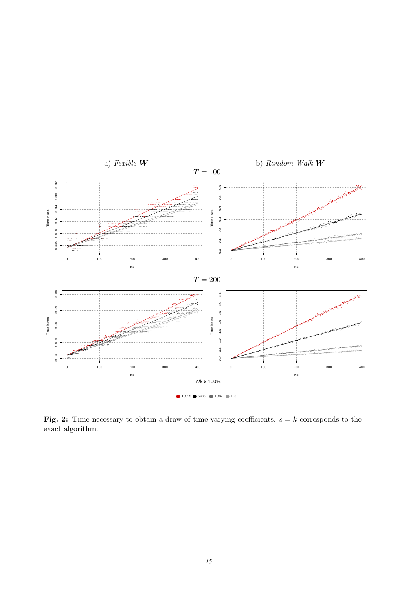<span id="page-15-0"></span>

Fig. 2: Time necessary to obtain a draw of time-varying coefficients.  $s = k$  corresponds to the  $\operatorname{exact}$  algorithm.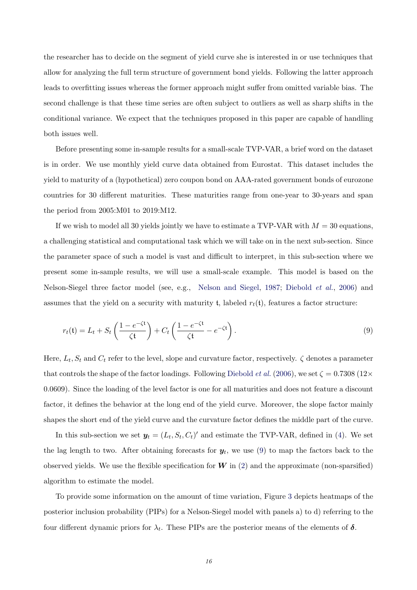the researcher has to decide on the segment of yield curve she is interested in or use techniques that allow for analyzing the full term structure of government bond yields. Following the latter approach leads to overfitting issues whereas the former approach might suffer from omitted variable bias. The second challenge is that these time series are often subject to outliers as well as sharp shifts in the conditional variance. We expect that the techniques proposed in this paper are capable of handling both issues well.

Before presenting some in-sample results for a small-scale TVP-VAR, a brief word on the dataset is in order. We use monthly yield curve data obtained from Eurostat. This dataset includes the yield to maturity of a (hypothetical) zero coupon bond on AAA-rated government bonds of eurozone countries for 30 different maturities. These maturities range from one-year to 30-years and span the period from 2005:M01 to 2019:M12.

If we wish to model all 30 yields jointly we have to estimate a TVP-VAR with  $M = 30$  equations, a challenging statistical and computational task which we will take on in the next sub-section. Since the parameter space of such a model is vast and difficult to interpret, in this sub-section where we present some in-sample results, we will use a small-scale example. This model is based on the Nelson-Siegel three factor model (see, e.g., [Nelson and Siegel,](#page-23-25) [1987;](#page-23-25) [Diebold](#page-23-26) et al., [2006\)](#page-23-26) and assumes that the yield on a security with maturity t, labeled  $r_t(t)$ , features a factor structure:

<span id="page-16-0"></span>
$$
r_t(\mathfrak{t}) = L_t + S_t \left( \frac{1 - e^{-\zeta \mathfrak{t}}}{\zeta \mathfrak{t}} \right) + C_t \left( \frac{1 - e^{-\zeta \mathfrak{t}}}{\zeta \mathfrak{t}} - e^{-\zeta \mathfrak{t}} \right). \tag{9}
$$

Here,  $L_t$ ,  $S_t$  and  $C_t$  refer to the level, slope and curvature factor, respectively.  $\zeta$  denotes a parameter that controls the shape of the factor loadings. Following [Diebold](#page-23-26) *et al.* [\(2006\)](#page-23-26), we set  $\zeta = 0.7308$  (12× 0.0609). Since the loading of the level factor is one for all maturities and does not feature a discount factor, it defines the behavior at the long end of the yield curve. Moreover, the slope factor mainly shapes the short end of the yield curve and the curvature factor defines the middle part of the curve.

In this sub-section we set  $y_t = (L_t, S_t, C_t)'$  and estimate the TVP-VAR, defined in [\(4\)](#page-5-0). We set the lag length to two. After obtaining forecasts for  $y_t$ , we use [\(9\)](#page-16-0) to map the factors back to the observed yields. We use the flexible specification for  $W$  in [\(2\)](#page-3-1) and the approximate (non-sparsified) algorithm to estimate the model.

To provide some information on the amount of time variation, Figure [3](#page-17-0) depicts heatmaps of the posterior inclusion probability (PIPs) for a Nelson-Siegel model with panels a) to d) referring to the four different dynamic priors for  $\lambda_t$ . These PIPs are the posterior means of the elements of  $\delta$ .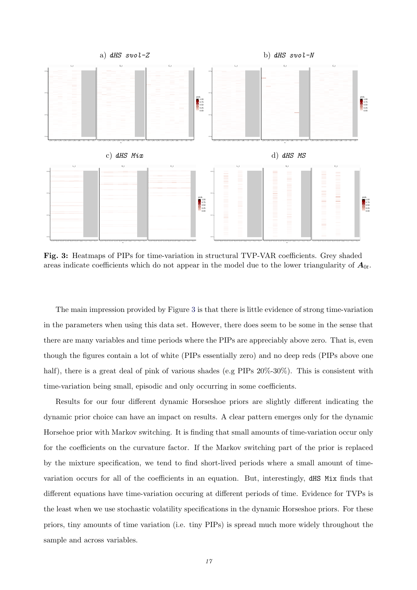<span id="page-17-0"></span>

Fig. 3: Heatmaps of PIPs for time-variation in structural TVP-VAR coefficients. Grey shaded areas indicate coefficients which do not appear in the model due to the lower triangularity of  $A_{0t}$ .

The main impression provided by Figure [3](#page-17-0) is that there is little evidence of strong time-variation in the parameters when using this data set. However, there does seem to be some in the sense that there are many variables and time periods where the PIPs are appreciably above zero. That is, even though the figures contain a lot of white (PIPs essentially zero) and no deep reds (PIPs above one half), there is a great deal of pink of various shades (e.g PIPs  $20\% - 30\%$ ). This is consistent with time-variation being small, episodic and only occurring in some coefficients.

Results for our four different dynamic Horseshoe priors are slightly different indicating the dynamic prior choice can have an impact on results. A clear pattern emerges only for the dynamic Horsehoe prior with Markov switching. It is finding that small amounts of time-variation occur only for the coefficients on the curvature factor. If the Markov switching part of the prior is replaced by the mixture specification, we tend to find short-lived periods where a small amount of timevariation occurs for all of the coefficients in an equation. But, interestingly, dHS Mix finds that different equations have time-variation occuring at different periods of time. Evidence for TVPs is the least when we use stochastic volatility specifications in the dynamic Horseshoe priors. For these priors, tiny amounts of time variation (i.e. tiny PIPs) is spread much more widely throughout the sample and across variables.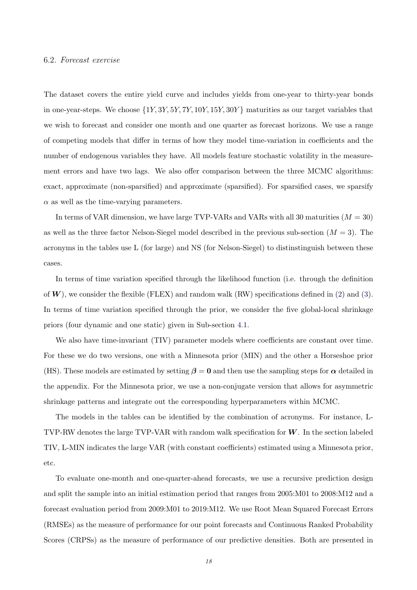#### 6.2. Forecast exercise

The dataset covers the entire yield curve and includes yields from one-year to thirty-year bonds in one-year-steps. We choose  $\{1Y, 3Y, 5Y, 7Y, 10Y, 15Y, 30Y\}$  maturities as our target variables that we wish to forecast and consider one month and one quarter as forecast horizons. We use a range of competing models that differ in terms of how they model time-variation in coefficients and the number of endogenous variables they have. All models feature stochastic volatility in the measurement errors and have two lags. We also offer comparison between the three MCMC algorithms: exact, approximate (non-sparsified) and approximate (sparsified). For sparsified cases, we sparsify  $\alpha$  as well as the time-varying parameters.

In terms of VAR dimension, we have large TVP-VARs and VARs with all 30 maturities  $(M = 30)$ as well as the three factor Nelson-Siegel model described in the previous sub-section  $(M = 3)$ . The acronyms in the tables use L (for large) and NS (for Nelson-Siegel) to distinstinguish between these cases.

In terms of time variation specified through the likelihood function (i.e. through the definition of  $W$ ), we consider the flexible (FLEX) and random walk (RW) specifications defined in [\(2\)](#page-3-1) and [\(3\)](#page-3-2). In terms of time variation specified through the prior, we consider the five global-local shrinkage priors (four dynamic and one static) given in Sub-section [4.1.](#page-8-0)

We also have time-invariant (TIV) parameter models where coefficients are constant over time. For these we do two versions, one with a Minnesota prior (MIN) and the other a Horseshoe prior (HS). These models are estimated by setting  $\beta = 0$  and then use the sampling steps for  $\alpha$  detailed in the appendix. For the Minnesota prior, we use a non-conjugate version that allows for asymmetric shrinkage patterns and integrate out the corresponding hyperparameters within MCMC.

The models in the tables can be identified by the combination of acronyms. For instance, L-TVP-RW denotes the large TVP-VAR with random walk specification for  $W$ . In the section labeled TIV, L-MIN indicates the large VAR (with constant coefficients) estimated using a Minnesota prior, etc.

To evaluate one-month and one-quarter-ahead forecasts, we use a recursive prediction design and split the sample into an initial estimation period that ranges from 2005:M01 to 2008:M12 and a forecast evaluation period from 2009:M01 to 2019:M12. We use Root Mean Squared Forecast Errors (RMSEs) as the measure of performance for our point forecasts and Continuous Ranked Probability Scores (CRPSs) as the measure of performance of our predictive densities. Both are presented in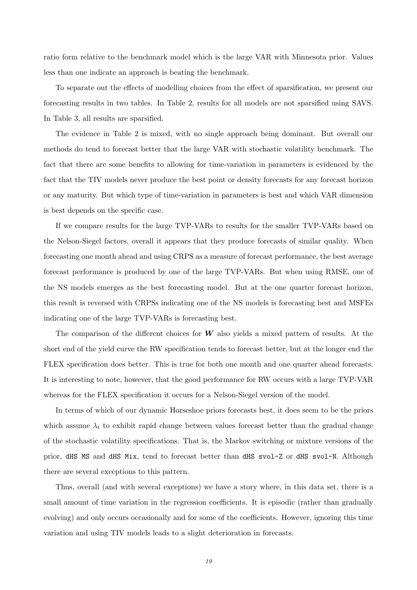ratio form relative to the benchmark model which is the large VAR with Minnesota prior. Values less than one indicate an approach is beating the benchmark.

To separate out the effects of modelling choices from the effect of sparsification, we present our forecasting results in two tables. In Table 2, results for all models are not sparsified using SAVS. In Table 3, all results are sparsified.

The evidence in Table 2 is mixed, with no single approach being dominant. But overall our methods do tend to forecast better that the large VAR with stochastic volatility benchmark. The fact that there are some benefits to allowing for time-variation in parameters is evidenced by the fact that the TIV models never produce the best point or density forecasts for any forecast horizon or any maturity. But which type of time-variation in parameters is best and which VAR dimension is best depends on the specific case.

If we compare results for the large TVP-VARs to results for the smaller TVP-VARs based on the Nelson-Siegel factors, overall it appears that they produce forecasts of similar quality. When forecasting one month ahead and using CRPS as a measure of forecast performance, the best average forecast performance is produced by one of the large TVP-VARs. But when using RMSE, one of the NS models emerges as the best forecasting model. But at the one quarter forecast horizon, this result is reversed with CRPSs indicating one of the NS models is forecasting best and MSFEs indicating one of the large TVP-VARs is forecasting best.

The comparison of the different choices for  $W$  also yields a mixed pattern of results. At the short end of the yield curve the RW specification tends to forecast better, but at the longer end the FLEX specification does better. This is true for both one month and one quarter ahead forecasts. It is interesting to note, however, that the good performance for RW occurs with a large TVP-VAR whereas for the FLEX specification it occurs for a Nelson-Siegel version of the model.

In terms of which of our dynamic Horseshoe priors forecasts best, it does seem to be the priors which assume  $\lambda_t$  to exhibit rapid change between values forecast better than the gradual change of the stochastic volatility specifications. That is, the Markov switching or mixture versions of the prior, dHS MS and dHS Mix, tend to forecast better than dHS svol-Z or dHS svol-N. Although there are several exceptions to this pattern.

Thus, overall (and with several exceptions) we have a story where, in this data set, there is a small amount of time variation in the regression coefficients. It is episodic (rather than gradually evolving) and only occurs occasionally and for some of the coefficients. However, ignoring this time variation and using TIV models leads to a slight deterioration in forecasts.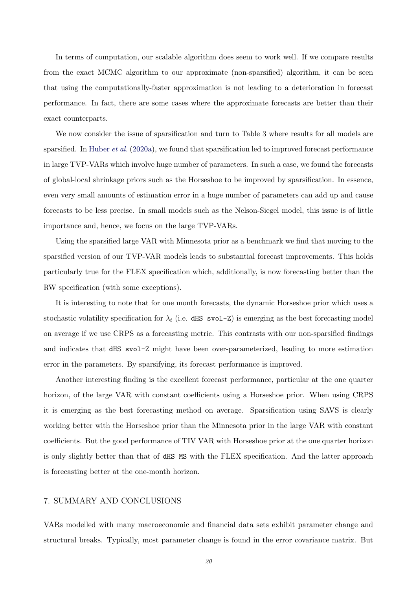In terms of computation, our scalable algorithm does seem to work well. If we compare results from the exact MCMC algorithm to our approximate (non-sparsified) algorithm, it can be seen that using the computationally-faster approximation is not leading to a deterioration in forecast performance. In fact, there are some cases where the approximate forecasts are better than their exact counterparts.

We now consider the issue of sparsification and turn to Table 3 where results for all models are sparsified. In [Huber](#page-23-15) *et al.* [\(2020a\)](#page-23-15), we found that sparsification led to improved forecast performance in large TVP-VARs which involve huge number of parameters. In such a case, we found the forecasts of global-local shrinkage priors such as the Horseshoe to be improved by sparsification. In essence, even very small amounts of estimation error in a huge number of parameters can add up and cause forecasts to be less precise. In small models such as the Nelson-Siegel model, this issue is of little importance and, hence, we focus on the large TVP-VARs.

Using the sparsified large VAR with Minnesota prior as a benchmark we find that moving to the sparsified version of our TVP-VAR models leads to substantial forecast improvements. This holds particularly true for the FLEX specification which, additionally, is now forecasting better than the RW specification (with some exceptions).

It is interesting to note that for one month forecasts, the dynamic Horseshoe prior which uses a stochastic volatility specification for  $\lambda_t$  (i.e. dHS svol-Z) is emerging as the best forecasting model on average if we use CRPS as a forecasting metric. This contrasts with our non-sparsified findings and indicates that dHS svol-Z might have been over-parameterized, leading to more estimation error in the parameters. By sparsifying, its forecast performance is improved.

Another interesting finding is the excellent forecast performance, particular at the one quarter horizon, of the large VAR with constant coefficients using a Horseshoe prior. When using CRPS it is emerging as the best forecasting method on average. Sparsification using SAVS is clearly working better with the Horseshoe prior than the Minnesota prior in the large VAR with constant coefficients. But the good performance of TIV VAR with Horseshoe prior at the one quarter horizon is only slightly better than that of dHS MS with the FLEX specification. And the latter approach is forecasting better at the one-month horizon.

# 7. SUMMARY AND CONCLUSIONS

VARs modelled with many macroeconomic and financial data sets exhibit parameter change and structural breaks. Typically, most parameter change is found in the error covariance matrix. But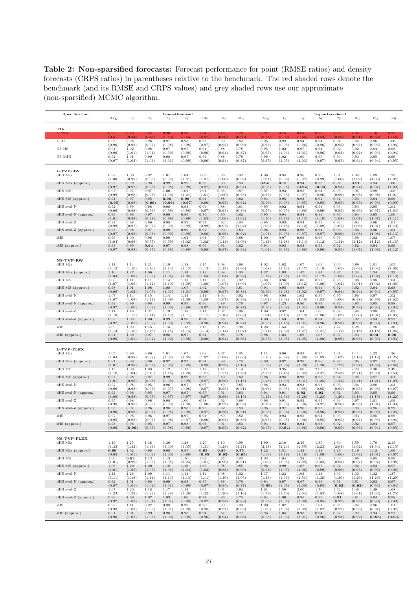Table 2: Non-sparsified forecasts: Forecast performance for point (RMSE ratios) and density forecasts (CRPS ratios) in parentheses relative to the benchmark. The red shaded rows denote the benchmark (and its RMSE and CRPS values) and grey shaded rows use our approximate (non-sparsified) MCMC algorithm.

| Specification        |           | 1-month-ahead |                 |        |        |        |        | 1-quarter-ahead |        |         |         |           |            |            |        |           |
|----------------------|-----------|---------------|-----------------|--------|--------|--------|--------|-----------------|--------|---------|---------|-----------|------------|------------|--------|-----------|
|                      | Avg.      | $_{1y}$       | $\overline{3y}$ | 5y     | 7y     | 10y    | 15y    | 30 <sub>y</sub> | Avg.   | $_{1y}$ | $_{3y}$ | 5y        | 7y         | 10y        | 15y    | 30y       |
| <b>TIV</b>           |           |               |                 |        |        |        |        |                 |        |         |         |           |            |            |        |           |
| L MI                 | $_{0.99}$ | 0.70          | 0.84            | 0.90   | 0.96   | 1.04   | 1.16   | 1.23            | 0.97   | 0.74    | 0.83    | 0.95      | 1.03       | 1.08       | 1.10   | 0.99      |
| L HS                 | (0.51)    | (0.34)        | (0.43)          | (0.50) | (0.54) | (0.57) | (0.60) | (0.60)          | (0.53) | (0.36)  | (0.45)  | (0.53)    | (0.58)     | (0.61)     | (0.62) | (0.56)    |
|                      | 0.93      | 0.98          | 0.96            | 0.97   | 0.98   | 0.96   | 0.90   | 0.82            | 0.95   | 0.92    | 0.94    | 0.94      | 0.94       | 0.94       | 0.96   | 1.00      |
| NS HS                | (0.96)    | (0.98)        | (0.97)          | (0.98) | (0.98) | (0.97) | (0.95) | (0.90)          | (0.95) | (0.95)  | (0.96)  | (0.96)    | (0.95)     | (0.95)     | (0.95) | (0.96)    |
|                      | 0.91      | 1.02          | 0.98            | 0.97   | 0.97   | 0.94   | 0.88   | 0.78            | 0.95   | 1.02    | 0.97    | 0.94      | 0.92       | 0.92       | 0.94   | 0.98      |
|                      | (0.96)    | (1.01)        | (1.01)          | (0.99) | (0.98) | (0.96) | (0.94) | (0.87)          | (0.95) | (1.03)  | (1.01)  | (0.96)    | (0.93)     | (0.92)     | (0.93) | (0.94)    |
| NS MIN               | 0.92      | 1.01          | 0.99            | 0.98   | 0.97   | 0.94   | 0.88   | 0.78            | 0.96   | 1.02    | 1.00    | 0.95      | 0.93       | 0.93       | 0.95   | 0.99      |
|                      | (0.97)    | (1.03)        | (1.03)          | (1.01) | (0.99) | (0.96) | (0.94) | (0.87)          | (0.97) | (1.05)  | (1.03)  | (0.97)    | (0.95)     | (0.94)     | (0.94) | (0.95)    |
|                      |           |               |                 |        |        |        |        |                 |        |         |         |           |            |            |        |           |
| L-TVP-RW<br>dHS Mix  | 0.98      | 1.00          | 0.97            | 1.01   | 1.04   | 1.03   | 0.96   | 0.92            | 1.06   | 0.94    | 0.96    | 0.99      | 1.01       | 1.04       | 1.09   | 1.25      |
| dHS Mix (approx.)    | (1.00)    | (0.99)        | (0.98)          | (0.99) | (1.01) | (1.01) | (1.00) | (0.98)          | (1.01) | (0.96)  | (0.97)  | (0.99)    | (1.00)     | (1.02)     | (1.03) | (1.07)    |
|                      | 0.93      | 0.99          | 0.98            | 0.99   | 0.99   | 0.95   | 0.90   | 0.83            | 0.94   | 0.91    | 0.94    | 0.93      | 0.91       | 0.91       | 0.94   | 1.00      |
|                      | (0.97)    | (0.97)        | (0.98)          | (0.98) | (0.98) | (0.97) | (0.97) | (0.94)          | (0.96) | (0.95)  | (0.94)  | (0.93)    | (0.93)     | (0.94)     | (0.97) | (1.09)    |
| dHS MS               | 0.97      | 0.97          | 0.97            | 1.00   | 1.02   | 1.01   | 0.96   | 0.87            | 0.97   | 0.93    | 0.95    | 0.94      | 0.93       | 0.95       | 0.99   | 1.08      |
|                      | (0.99)    | (0.98)        | (0.98)          | (1.00) | (1.01) | (1.01) | (1.00) | (0.95)          | (0.97) | (0.95)  | (0.97)  | (0.96)    | (0.96)     | (0.96)     | (0.98) | (1.01)    |
| dHS MS (approx.)     | 0.91      | 0.97          | 0.95            | 0.96   | 0.96   | 0.94   | 0.88   | 0.82            | 0.94   | 0.95    | 0.93    | 0.92      | 0.92       | 0.93       | 0.94   | 0.99      |
|                      | (0.95)    | (0.98)        | (0.96)          | (0.96) | (0.97) | (0.96) | (0.95) | (0.92)          | (0.96) | (0.95)  | (0.95)  | (0.95)    | (0.95)     | (0.95)     | (0.96) | (0.99)    |
| dHS svol-N           | 0.92      | 0.99          | 0.98            | 0.98   | 0.98   | 0.94   | 0.88   | 0.81            | 0.95   | 0.92    | 0.94    | 0.94      | 0.93       | 0.94       | 0.95   | 1.01      |
| dHS svol-N (approx.) | (0.96)    | (0.98)        | (0.99)          | (0.99) | (0.98) | (0.97) | (0.95) | (0.89)          | (0.97) | (0.95)  | (0.96)  | (0.96)    | (0.95)     | (0.96)     | (0.97) | (1.04)    |
|                      | 0.93      | 0.98          | $0.97\,$        | 0.99   | 0.99   | 0.96   | 0.90   | 0.82            | 0.95   | 0.94    | 0.94    | 0.94      | $\rm 0.93$ | $\rm 0.94$ | 0.95   | 1.00      |
| dHS svol-Z           | (1.01)    | (0.98)        | (0.98)          | (0.99) | (0.99) | (1.03) | (1.06) | (1.02)          | (1.10) | (1.16)  | (1.13)  | (1.10)    | (1.08)     | (1.07)     | (1.07) | (1.11)    |
|                      | 0.94      | 0.98          | 0.96            | 0.98   | 0.99   | 0.97   | 0.92   | 0.83            | 0.95   | 0.93    | 0.94    | $_{0.93}$ | 0.93       | 0.94       | 0.96   | 1.01      |
|                      | (0.99)    | (0.97)        | (0.97)          | (0.99) | (0.99) | (0.99) | (0.97) | (1.02)          | (1.09) | (1.15)  | (1.12)  | (1.09)    | (1.07)     | (1.06)     | (1.07) | (1.10)    |
|                      | 0.93      | 0.98          | 0.97            | 0.99   | 0.99   | 0.97   | 0.90   | 0.83            | 0.96   | 0.93    | 0.96    | 0.94      | 0.93       | 0.94       | 0.96   | 1.02      |
| dHS svol-Z (approx.) | (0.97)    | (0.98)        | (0.98)          | (0.99) | (0.99) | (0.98) | (0.96) | (0.92)          | (1.03) | (0.95)  | (0.97)  | (0.97)    | (0.96)     | (1.08)     | (1.08) | (1.13)    |
| sHS                  | 0.96      | 1.00          | 0.96            | 0.99   | 1.02   | 1.01   | 0.95   | $_{0.88}$       | 1.00   | 0.97    | 0.96    | $_{0.96}$ | 0.96       | 0.99       | 1.02   | 1.07      |
|                      | (1.04)    | (0.99)        | (0.97)          | (0.99) | (1.02) | (1.02) | (1.13) | (1.09)          | (1.13) | (1.18)  | (1.14)  | (1.12)    | (1.11)     | (1.12)     | (1.12) | (1.16)    |
| sHS (approx.)        | 0.93      | 0.99          | 0.94            | 0.97   | 0.98   | 0.96   | 0.91   | 0.82            | 0.94   | 0.93    | 0.93    | 0.93      | 0.92       | 0.92       | 0.94   | 0.99      |
|                      | (0.97)    | (0.98)        | (0.97)          | (0.98) | (0.98) | (0.98) | (0.97) | (0.92)          | (1.02) | (0.96)  | (0.96)  | (0.96)    | (0.95)     | (1.07)     | (1.08) | (1.12)    |
|                      |           |               |                 |        |        |        |        |                 |        |         |         |           |            |            |        |           |
| <b>NS-TVP-RW</b>     |           |               |                 |        |        |        |        |                 |        |         |         |           |            |            |        |           |
| dHS Mix              | 1.11      | 1.14          | 1.21            | 1.19   | 1.18   | 1.15   | 1.08   | 0.98            | 1.02   | 1.02    | 1.07    | 1.03      | 1.00       | 0.99       | 1.01   | 1.05      |
|                      | (1.12)    | (1.10)        | (1.16)          | (1.14) | (1.13) | (1.13) | (1.12) | (1.06)          | (1.08) | (1.13)  | (1.17)  | (1.10)    | (1.05)     | (1.03)     | (1.03) | (1.08)    |
| dHS Mix (approx.)    | 1.10      | 1.27          | 1.06            | 1.11   | 1.14   | 1.13   | 1.08   | 1.00            | 1.37   | 1.93    | 1.47    | 1.34      | 1.27       | 1.24       | 1.24   | 1.33      |
|                      | (1.04)    | (1.09)        | (1.05)          | (1.06) | (1.05) | (1.04) | (1.04) | (0.98)          | (1.12) | (1.35)  | (1.21)  | (1.12)    | (1.08)     | (1.06)     | (1.07) | (1.10)    |
| dHS MS               | 1.06      | 1.11          | 1.11            | 1.14   | 1.13   | 1.11   | 1.03   | 0.92            | 0.98   | 0.96    | 1.00    | 0.97      | 0.96       | 0.96       | 0.98   | 1.04      |
| dHS MS (approx.)     | (1.07)    | (1.09)        | (1.12)          | (1.10) | (1.09) | (1.08) | (1.07) | (1.00)          | (1.05) | (1.09)  | (1.12)  | (1.06)    | (1.02)     | (1.01)     | (1.02) | (1.06)    |
|                      | 0.98      | 1.01          | 1.06            | 1.08   | 1.07   | 1.02   | 0.94   | 0.81            | 0.94   | 0.95    | 0.98    | 0.94      | 0.92       | 0.92       | 0.94   | 0.98      |
| dHS svol-N           | (0.99)    | (1.02)        | (1.05)          | (1.03) | (1.01) | (0.99) | (0.97) | (0.88)          | (0.96) | (1.01)  | (1.02)  | (0.97)    | (0.94)     | (0.94)     | (0.94) | (0.95)    |
|                      | 1.07      | 1.14          | 1.15            | 1.14   | 1.14   | 1.11   | 1.04   | 0.92            | 0.98   | 0.98    | 1.02    | 0.99      | 0.97       | 0.96       | 0.97   | 1.02      |
| dHS svol-N (approx.) | (1.07)    | (1.09)        | (1.11)          | (1.09) | (1.09) | (1.08) | (1.07) | (0.99)          | (1.02) | (1.08)  | (1.10)  | (1.03)    | (1.00)     | (0.98)     | (0.99) | (1.02)    |
|                      | 0.92      | 0.99          | 0.98            | 0.99   | 0.99   | 0.96   | 0.89   | 0.78            | 0.97   | 1.23    | 0.96    | 0.94      | 0.92       | 0.93       | 0.95   | 0.98      |
|                      | (0.97)    | (1.00)        | (1.02)          | (1.00) | (0.99) | (0.97) | (0.95) | (0.87)          | (0.96) | (1.08)  | (1.01)  | (0.96)    | (0.94)     | (0.93)     | (0.94) | (0.94)    |
| dHS svol-Z           | 1.11      | 1.19          | 1.21            | 1.19   | 1.18   | 1.14   | 1.07   | 0.96            | 1.00   | 0.97    | 1.04    | 1.00      | 0.98       | 0.98       | 0.99   | 1.03      |
|                      | (1.10)    | (1.11)        | (1.14)          | (1.12) | (1.11) | (1.11) | (1.10) | (1.03)          | (1.04) | (1.10)  | (1.13)  | (1.06)    | (1.02)     | (1.00)     | (1.01) | (1.05)    |
| dHS svol-Z (approx.) | 0.92      | 1.03          | 1.00            | 0.99   | 0.98   | 0.94   | 0.88   | 0.78            | 1.00   | 1.53    | 0.98    | 0.94      | 0.92       | 0.92       | 0.94   | 0.97      |
|                      | (0.97)    | (1.02)        | (1.02)          | (1.00) | (0.99) | (0.96) | (0.94) | (0.87)          | (0.96) | (1.15)  | (1.01)  | (0.96)    | (0.93)     | (0.92)     | (0.93) | (0.93)    |
| sHS                  | 1.09      | 1.09          | 1.15            | 1.15   | 1.15   | 1.13   | 1.08   | 0.96            | 1.28   | 1.54    | 1.15    | 1.17      | 1.22       | 1.28       | 1.28   | 1.36      |
|                      | (1.13)    | (1.10)        | (1.16)          | (1.15) | (1.14) | (1.14) | (1.14) | (1.07)          | (1.21) | (1.32)  | (1.27)  | (1.21)    | (1.17)     | (1.16)     | (1.18) | (1.24)    |
| sHS (approx.)        | 0.91      | 1.00          | 0.97            | 0.98   | 0.97   | 0.94   | 0.88   | 0.78            | 0.98   | 1.04    | 1.09    | 1.05      | 0.97       | 0.93       | 0.92   | 0.96      |
|                      | (0.96)    | (1.01)        | (1.02)          | (1.00) | (0.98) | (0.96) | (0.94) | (0.86)          | (0.97) | (1.05)  | (1.05)  | (1.00)    | (0.96)     | (0.93)     | (0.93) | (0.93)    |
| L-TVP-FLEX           |           |               |                 |        |        |        |        |                 |        |         |         |           |            |            |        |           |
| dHS Mix              | 1.05      | 0.99          | 0.96            | 1.01   | 1.07   | 1.09   | 1.07   | 1.05            | 1.11   | 0.96    | 0.93    | 0.95      | 1.01       | 1.11       | 1.22   | 1.36      |
|                      | (1.04)    | (0.98)        | (0.98)          | (1.02) | (1.05) | (1.07) | (1.08) | (1.06)          | (1.10) | (0.98)  | (0.99)  | (1.03)    | (1.07)     | (1.13)     | (1.18) | (1.25)    |
| dHS Mix (approx.)    | 0.91      | 0.98          | 0.96            | 0.97   | 0.97   | 0.94   | 0.89   | 0.78            | 0.99   | 0.97    | 0.99    | 0.98      | 0.96       | 0.95       | 0.97   | 1.11      |
| dHS MS               | (1.01)    | (0.98)        | (0.97)          | (0.98) | (0.98) | (0.98) | (0.99) | (1.18)          | (1.52) | (1.06)  | (1.20)  | (1.26)    | (1.27)     | (1.37)     | (1.60) | (2.68)    |
|                      | 1.13      | 1.00          | 1.03            | 1.12   | 1.17   | 1.17   | 1.17   | 1.14            | 2.11   | 0.95    | 1.66    | 2.06      | 2.10       | 2.22       | 2.30   | 2.49      |
| dHS MS (approx.)     | (1.18)    | (1.04)        | (1.10)          | (1.16) | (1.20) | (1.21) | (1.22) | (1.26)          | (2.58) | (1.45)  | (2.02)  | (2.37)    | (2.53)     | (2.71)     | (2.90) | (3.50)    |
|                      | 0.93      | 0.98          | 0.97            | 0.99   | 0.99   | 0.95   | 0.89   | 0.82            | 0.96   | 0.94    | 0.96    | 0.95      | 0.94       | 0.95       | 0.97   | 1.01      |
| dHS svol-N           | (1.01)    | (0.98)        | (0.98)          | (0.99) | (0.99) | (0.97) | (0.96) | (1.15)          | (1.26) | (1.39)  | (1.31)  | (1.25)    | (1.22)     | (1.21)     | (1.21) | (1.29)    |
|                      | 0.92      | 0.98          | 0.95            | 0.96   | 0.97   | 0.95   | 0.89   | 0.85            | 0.96   | 0.93    | 0.93    | 0.93      | 0.93       | 0.94       | 0.98   | 1.03      |
|                      | (0.96)    | (0.98)        | (0.97)          | (0.97) | (0.98) | (0.97) | (0.95) | (0.91)          | (0.96) | (0.95)  | (0.95)  | (0.95)    | (0.95)     | (0.95)     | (0.96) | (0.97)    |
| dHS svol-N (approx.) | 0.92      | 0.98          | 0.95            | 0.97   | 0.97   | 0.95   | 0.91   | 0.83            | 0.94   | 0.91    | 0.92    | 0.92      | 0.92       | 0.93       | 0.95   | 0.99      |
|                      | (1.00)    | (0.98)        | (0.97)          | (0.97) | (0.97) | (0.97) | (0.96) | (1.15)          | (1.23) | (1.36)  | (1.28)  | (1.23)    | (1.20)     | (1.19)     | (1.19) | (1.22)    |
| dHS svol-Z           | 0.95      | 0.98          | 0.96            | 0.98   | 1.00   | 0.98   | 0.92   | 0.88            | 0.98   | 0.91    | 0.93    | 0.94      | 0.94       | 0.97       | 1.01   | 1.09      |
|                      | (0.98)    | (0.98)        | (0.98)          | (0.99) | (1.00) | (1.00) | (0.99) | (0.95)          | (0.98) | (0.95)  | (0.96)  | (0.97)    | (0.96)     | (0.98)     | (1.01) | (1.03)    |
| dHS svol-Z (approx.) | 0.93      | 0.97          | 0.96            | 0.98   | 0.98   | 0.96   | 0.92   | 0.83            | 0.95   | 0.97    | 0.96    | 0.95      | 0.93       | 0.93       | 0.95   | 0.99      |
| sHS                  | (0.96)    | (0.98)        | (0.97)          | (0.98) | (0.98) | (0.97) | (0.96) | (0.91)          | (0.95) | (0.96)  | (0.96)  | (0.96)    | (0.95)     | (0.95)     | (0.95) | (0.95)    |
|                      | 0.92      | 0.98          | 0.96            | 0.97   | 0.97   | 0.94   | 0.89   | 0.82            | 0.95   | 0.93    | 0.95    | 0.94      | 0.93       | 0.93       | 0.95   | 0.99      |
| sHS (approx.)        | (0.95)    | (0.98)        | (0.97)          | (0.98) | (0.97) | (0.96) | (0.95) | (0.89)          | (0.95) | (0.95)  | (0.96)  | (0.95)    | (0.95)     | (0.94)     | (0.95) | (0.94)    |
|                      | 0.93      | $_{0.96}$     | 0.95            | 0.97   | 0.98   | 0.96   | 0.91   | 0.83            | 0.94   | 0.93    | 0.94    | 0.93      | 0.92       | 0.92       | 0.94   | $_{0.97}$ |
|                      | (0.96)    | (0.96)        | (0.97)          | (0.98) | (0.98) | (0.97) | (0.95) | (0.92)          | (0.95) | (0.94)  | (0.96)  | (0.96)    | (0.95)     | (0.95)     | (0.94) | (0.95)    |
| NS-TVP-FLEX          |           |               |                 |        |        |        |        |                 |        |         |         |           |            |            |        |           |
| dHS Mix              | 1.19      | 1.25          | 1.38            | 1.36   | 1.28   | 1.20   | 1.10   | 0.99            | 1.90   | 2.10    | 2.49    | 1.89      | 1.64       | 1.59       | 1.70   | 2.15      |
| dHS Mix (approx.)    | (1.33)    | (1.32)        | (1.43)          | (1.40) | (1.35) | (1.31) | (1.29) | (1.27)          | (2.13) | (2.24)  | (2.55)  | (2.23)    | (2.01)     | (1.92)     | (1.94) | (2.15)    |
|                      | 0.90      | 1.02          | 0.98            | 0.98   | 0.97   | 0.93   | 0.85   | 0.75            | 1.22   | 1.51    | 1.42    | 1.11      | 1.26       | 1.19       | 1.12   | 1.06      |
| dHS MS               | (0.95)    | (1.01)        | (1.03)          | (1.00) | (0.98) | (0.95) | (0.92) | (0.85)          | (1.06) | (1.18)  | (1.16)  | (1.09)    | (1.06)     | (1.03)     | (1.01) | (0.97)    |
|                      | 1.00      | 0.93          | 1.13            | 1.13   | 1.10   | 1.04   | 0.95   | 0.83            | 1.03   | 1.04    | 1.28    | 1.10      | 1.00       | 0.96       | 0.95   | 0.99      |
|                      | (1.01)    | (0.99)        | (1.06)          | (1.05) | (1.04) | (1.01) | (0.99) | (0.91)          | (1.00) | (1.05)  | (1.09)  | (1.02)    | (0.98)     | (0.97)     | (0.97) | (0.98)    |
| dHS MS (approx.)     | 1.06      | 1.20          | 1.20            | 1.18   | 1.16   | 1.09   | 0.98   | 0.85            | 0.96   | 0.99    | 1.07    | 0.97      | 0.92       | 0.92       | 0.93   | 0.97      |
|                      | (1.01)    | (1.05)        | (1.07)          | (1.06) | (1.04) | (1.02) | (0.98) | (0.90)          | (0.98) | (1.07)  | (1.06)  | (0.99)    | (0.96)     | (0.95)     | (0.96) | (0.96)    |
| dHS svol-N           | 1.11      | 1.26          | 1.09            | 1.11   | 1.14   | 1.14   | 1.08   | 1.02            | 1.37   | 1.23    | 1.63    | 1.44      | 1.33       | 1.30       | 1.32   | 1.37      |
|                      | (1.11)    | (1.18)        | (1.14)          | (1.13) | (1.13) | (1.11) | (1.10) | (1.05)          | (1.33) | (1.36)  | (1.51)  | (1.38)    | (1.30)     | (1.26)     | (1.26) | (1.29)    |
| dHS svol-N (approx.) | 0.92      | 1.01          | 0.98            | 0.99   | 0.98   | 0.95   | 0.88   | 0.78            | 0.94   | 0.97    | 0.97    | 0.93      | 0.91       | 0.91       | 0.93   | 0.97      |
|                      | (0.97)    | (1.01)        | (1.02)          | (1.01) | (0.99) | (0.97) | (0.95) | (0.87)          | (0.95) | (1.01)  | (1.00)  | (0.95)    | (0.92)     | (0.92)     | (0.93) | (0.94)    |
| dHS svol-Z           | 1.07      | 1.20          | 1.18            | 1.17   | 1.14   | 1.09   | 1.01   | 0.92            | 1.61   | 1.50    | 2.00    | 1.70      | 1.52       | 1.46       | 1.49   | 1.68      |
| dHS svol-Z (approx.) | (1.23)    | (1.23)        | (1.29)          | (1.28) | (1.26) | (1.22) | (1.20) | (1.16)          | (1.73) | (1.70)  | (2.04)  | (1.83)    | (1.68)     | (1.61)     | (1.62) | (1.75)    |
|                      | 0.93      | 1.09          | 1.07            | 1.03   | 1.00   | 0.94   | 0.86   | 0.75            | 0.94   | 1.00    | 0.95    | 0.92      | 0.91       | 0.91       | 0.94   | 0.98      |
| $_{\rm sHS}$         | (0.97)    | (1.03)        | (1.04)          | (1.01) | (0.99) | (0.97) | (0.94) | (0.86)          | (0.95) | (1.02)  | (1.00)  | (0.95)    | (0.92)     | (0.92)     | (0.93) | (0.93)    |
|                      | 0.93      | 1.11          | 0.97            | 0.98   | 0.99   | 0.96   | 0.90   | 0.80            | 1.00   | 1.07    | 1.11    | 1.01      | 0.95       | 0.94       | 0.96   | 1.01      |
|                      | (0.98)    | (1.03)        | (1.02)          | (1.01) | (1.00) | (0.98) | (0.97) | (0.89)          | (1.00) | (1.06)  | (1.09)  | (1.02)    | (0.97)     | (0.96)     | (0.97) | (0.97)    |
| sHS (approx.)        | 0.91      | 1.01          | 0.99            | 0.98   | 0.98   | 0.94   | 0.87   | 0.77            | 0.95   | 1.04    | 0.98    | 0.94      | 0.92       | 0.92       | 0.94   | 0.97      |
|                      | (0.96)    | (1.02)        | (1.03)          | (1.00) | (0.98) | (0.96) | (0.94) | (0.86)          | (0.95) | (1.03)  | (1.01)  | (0.96)    | (0.93)     | (0.92)     | (0.93) | (0.93)    |
|                      |           |               |                 |        |        |        |        |                 |        |         |         |           |            |            |        |           |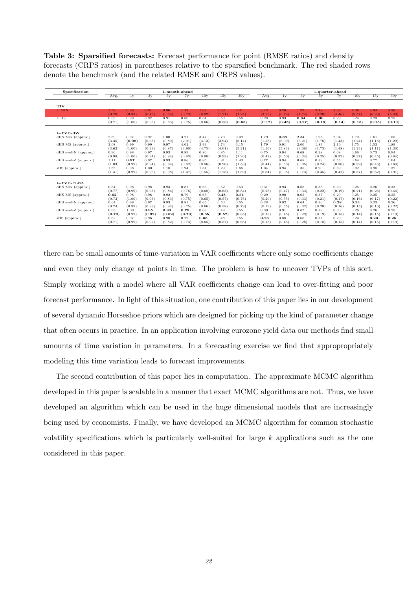Table 3: Sparsified forecasts: Forecast performance for point (RMSE ratios) and density forecasts (CRPS ratios) in parentheses relative to the sparsified benchmark. The red shaded rows denote the benchmark (and the related RMSE and CRPS values).

| Specification           | 1-month-ahead |        |        |        |        |                 |        |        | 1-quarter-ahead |        |        |        |        |                 |        |        |
|-------------------------|---------------|--------|--------|--------|--------|-----------------|--------|--------|-----------------|--------|--------|--------|--------|-----------------|--------|--------|
|                         | Avg.          | 1v     | 3y     | 5v     | 7v     | 10 <sub>V</sub> | 15v    | 30y    | Avg.            | 1v     | 3v     | 5v     | 7y     | 10 <sub>V</sub> | 15v    | 30y    |
| <b>TIV</b>              |               |        |        |        |        |                 |        |        |                 |        |        |        |        |                 |        |        |
| L MIN                   | 1.58          | 0.68   | 0.81   | 0.96   | 1.19   | 1.63            | 2.33   | 2.41   | 3.42            | 0.76   | 1.22   | 2.48   | 3.39   | 4.36            | 4.94   | 4.36   |
|                         | (0.78)        | (0.33) | (0.45) | (0.59) | (0.73) | (0.92)          | (1.21) | (1.24) | (3.99)          | (0.78) | (1.74) | (3.20) | (4.46) | (5.57)          | (6.29) | (5.89) |
| L HS                    | 0.63          | 0.99   | 0.97   | 0.91   | 0.80   | 0.64            | 0.50   | 0.56   | 0.28            | 0.93   | 0.64   | 0.36   | 0.29   | 0.24            | 0.23   | 0.25   |
|                         | (0.71)        | (1.00) | (0.93) | (0.83) | (0.75) | (0.66)          | (0.58) | (0.65) | (0.17)          | (0.45) | (0.27) | (0.18) | (0.14) | (0.13)          | (0.15) | (0.19) |
| L-TVP-RW                |               |        |        |        |        |                 |        |        |                 |        |        |        |        |                 |        |        |
| dHS Mix (approx.)       | 2.89          | 0.97   | 0.97   | 1.00   | 3.21   | 3.47            | 2.73   | 3.09   | 1.79            | 0.88   | 2.34   | 1.93   | 2.04   | 1.70            | 1.61   | 1.85   |
|                         | (3.35)        | (0.98) | (0.93) | (0.89) | (2.91) | (4.13)          | (3.94) | (5.14) | (1.58)          | (6.09) | (3.21) | (1.78) | (1.43) | (1.24)          | (1.16) | (1.29) |
| dHS MS (approx.)        | 3.08          | 0.99   | 0.99   | 0.97   | 4.02   | 3.93            | 2.74   | 3.15   | 1.79            | 0.91   | 2.00   | 1.89   | 2.10   | 1.75            | 1.53   | 1.89   |
|                         | (3.62)        | (1.00) | (0.93) | (0.87) | (3.90) | (4.75)          | (4.01) | (5.21) | (1.56)          | (5.83) | (3.08) | (1.73) | (1.48) | (1.24)          | (1.11) | (1.30) |
| $d$ HS svol-N (approx.) | 0.96          | 0.98   | 0.97   | 0.93   | 0.89   | 0.86            | 0.85   | 1.11   | 0.75            | 0.94   | 0.68   | 0.38   | 0.68   | 0.66            | 0.73   | 0.94   |
|                         | (0.98)        | (1.00) | (0.94) | (0.84) | (0.83) | (0.90)          | (0.93) | (1.26) | (0.42)          | (0.50) | (0.34) | (0.25) | (0.32) | (0.37)          | (0.45) | (0.64) |
| $d$ HS svol-Z (approx.) | 1.11          | 0.97   | 0.97   | 0.93   | 0.86   | 0.85            | 0.91   | 1.43   | 0.77            | 0.94   | 0.68   | 0.39   | 0.55   | 0.64            | 0.77   | 1.04   |
|                         | (1.03)        | (0.99) | (0.94) | (0.84) | (0.82) | (0.86)          | (0.90) | (1.56) | (0.44)          | (0.50) | (0.35) | (0.24) | (0.30) | (0.39)          | (0.46) | (0.68) |
| sHS (approx.)           | 1.55          | 0.98   | 1.00   | 1.18   | 1.94   | 1.81            | 1.29   | 1.66   | 1.04            | 0.94   | 1.35   | 0.90   | 0.89   | 0.92            | 0.98   | 1.32   |
|                         | (1.41)        | (0.99) | (0.96) | (0.98) | (1.47) | (1.55)          | (1.28) | (1.89) | (0.64)          | (0.95) | (0.73) | (0.45) | (0.47) | (0.57)          | (0.62) | (0.91) |
| L-TVP-FLEX              |               |        |        |        |        |                 |        |        |                 |        |        |        |        |                 |        |        |
| dHS Mix (approx.)       | 0.64          | 0.98   | 0.98   | 0.93   | 0.81   | 0.66            | 0.52   | 0.53   | 0.31            | 0.93   | 0.68   | 0.38   | 0.30   | 0.26            | 0.26   | 0.33   |
|                         | (0.77)        | (0.99) | (0.93) | (0.84) | (0.76) | (0.68)          | (0.63) | (0.84) | (0.28)          | (0.47) | (0.33) | (0.22) | (0.19) | (0.21)          | (0.26) | (0.44) |
| dHS MS (approx.)        | 0.62          | 0.98   | 0.98   | 0.92   | 0.79   | 0.63            | 0.48   | 0.51   | 0.29            | 0.90   | 0.65   | 0.37   | 0.29   | 0.25            | 0.25   | 0.25   |
|                         | (0.73)        | (1.00) | (0.93) | (0.83) | (0.75) | (0.65)          | (0.57) | (0.76) | (0.20)          | (0.55) | (0.33) | (0.21) | (0.17) | (0.16)          | (0.17) | (0.22) |
| $d$ HS svol-N (approx.) | 0.64          | 0.99   | 0.97   | 0.93   | 0.81   | 0.65            | 0.50   | 0.55   | 0.28            | 0.92   | 0.64   | 0.36   | 0.28   | 0.24            | 0.23   | 0.26   |
|                         | (0.74)        | (0.99) | (0.93) | (0.84) | (0.75) | (0.66)          | (0.58) | (0.79) | (0.19)          | (0.55) | (0.32) | (0.20) | (0.16) | (0.15)          | (0.16) | (0.22) |
| $d$ HS svol-Z (approx.) | 0.63          | 1.00   | 0.95   | 0.90   | 0.79   | 0.63            | 0.48   | 0.55   | 0.30            | 0.91   | 0.67   | 0.38   | 0.30   | 0.26            | 0.26   | 0.25   |
|                         | (0.70)        | (0.99) | (0.92) | (0.82) | (0.73) | (0.65)          | (0.57) | (0.65) | (0.18)          | (0.45) | (0.29) | (0.19) | (0.15) | (0.14)          | (0.15) | (0.19) |
| sHS (approx.)           | 0.62          | 0.97   | 0.96   | 0.90   | 0.79   | 0.63            | 0.48   | 0.55   | 0.28            | 0.88   | 0.66   | 0.37   | 0.29   | 0.24            | 0.23   | 0.25   |
|                         | (0.71)        | (0.99) | (0.92) | (0.82) | (0.74) | (0.65)          | (0.57) | (0.66) | (0.18)          | (0.45) | (0.28) | (0.18) | (0.15) | (0.14)          | (0.15) | (0.19) |

there can be small amounts of time-variation in VAR coefficients where only some coefficients change and even they only change at points in time. The problem is how to uncover TVPs of this sort. Simply working with a model where all VAR coefficients change can lead to over-fitting and poor forecast performance. In light of this situation, one contribution of this paper lies in our development of several dynamic Horseshoe priors which are designed for picking up the kind of parameter change that often occurs in practice. In an application involving eurozone yield data our methods find small amounts of time variation in parameters. In a forecasting exercise we find that appropropriately modeling this time variation leads to forecast improvements.

The second contribution of this paper lies in computation. The approximate MCMC algorithm developed in this paper is scalable in a manner that exact MCMC algorithms are not. Thus, we have developed an algorithm which can be used in the huge dimensional models that are increasingly being used by economists. Finally, we have developed an MCMC algorithm for common stochastic volatility specifications which is particularly well-suited for large  $k$  applications such as the one considered in this paper.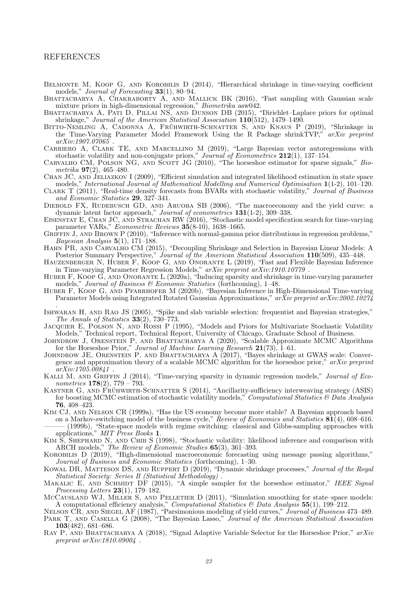#### REFERENCES

- <span id="page-23-5"></span>BELMONTE M, KOOP G, AND KOROBILIS D (2014), "Hierarchical shrinkage in time-varying coefficient models," *Journal of Forecasting* **33**(1), 80–94.
- <span id="page-23-12"></span>BHATTACHARYA A, CHAKRABORTY A, AND MALLICK BK (2016), "Fast sampling with Gaussian scale mixture priors in high-dimensional regression," *Biometrika* asw042.<br>BHATTACHARYA A, PATI D, PILLAI NS, AND DUNSON DB (2015), "Dirichlet–Laplace priors for optimal
- <span id="page-23-4"></span>shrinkage," Journal of the American Statistical Association 110(512), 1479–1490.
- <span id="page-23-10"></span>BITTO-NEMLING A, CADONNA A, FRÜHWIRTH-SCHNATTER S, AND KNAUS P (2019), "Shrinkage in the Time-Varying Parameter Model Framework Using the R Package shrinkTVP," arXiv preprint arXiv:1907.07065 .
- <span id="page-23-19"></span>Carriero A, Clark TE, and Marcellino M (2019), "Large Bayesian vector autoregressions with stochastic volatility and non-conjugate priors," Journal of Econometrics  $212(1)$ , 137–154.
- <span id="page-23-3"></span>CARVALHO CM, POLSON NG, AND SCOTT JG (2010), "The horseshoe estimator for sparse signals," Biometrika  $97(2)$ , 465–480.
- <span id="page-23-23"></span>Chan JC, and Jeliazkov I (2009), "Efficient simulation and integrated likelihood estimation in state space models," International Journal of Mathematical Modelling and Numerical Optimisation 1(1-2), 101-120.
- <span id="page-23-16"></span>CLARK T (2011), "Real-time density forecasts from BVARs with stochastic volatility," Journal of Business and Economic Statistics 29, 327–341.
- <span id="page-23-26"></span>DIEBOLD FX, RUDEBUSCH GD, AND ARUOBA SB (2006), "The macroeconomy and the yield curve: a dynamic latent factor approach," Journal of econometrics **131**(1-2), 309–338.<br>EISENSTAT E, CHAN JC, AND STRACHAN RW (2016), "Stochastic model specification search for time-varying
- <span id="page-23-7"></span>parameter VARs," Econometric Reviews  $3\dot{5}(8-10)$ , 1638-1665.
- <span id="page-23-2"></span>GRIFFIN J, AND BROWN P (2010), "Inference with normal-gamma prior distributions in regression problems," Bayesian Analysis  $5(1)$ , 171–188.
- <span id="page-23-21"></span>Hahn PR, and Carvalho CM (2015), "Decoupling Shrinkage and Selection in Bayesian Linear Models: A Posterior Summary Perspective," Journal of the American Statistical Association 110(509), 435–448.
- <span id="page-23-8"></span>HAUZENBERGER N, HUBER F, KOOP G, AND ONORANTE L (2019), "Fast and Flexible Bayesian Inference in Time-varying Parameter Regression Models," arXiv preprint arXiv:1910.10779 .
- <span id="page-23-15"></span>Huber F, Koop G, and Onorante L (2020a), "Inducing sparsity and shrinkage in time-varying parameter models," Journal of Business & Economic Statistics (forthcoming), 1–48.
- <span id="page-23-18"></span>HUBER F, KOOP G, AND PFARRHOFER M (2020b), "Bayesian Inference in High-Dimensional Time-varying Parameter Models using Integrated Rotated Gaussian Approximations,"  $arXiv$  preprint  $arXiv:2002.10274$ .
- <span id="page-23-0"></span>Ishwaran H, and Rao JS (2005), "Spike and slab variable selection: frequentist and Bayesian strategies," The Annals of Statistics 33(2), 730–773.
- <span id="page-23-22"></span>JACQUIER E, POLSON N, AND ROSSI P (1995), "Models and Priors for Multivariate Stochastic Volatility Models," Technical report, Technical Report, University of Chicago, Graduate School of Business.
- <span id="page-23-20"></span>JOHNDROW J, ORENSTEIN P, AND BHATTACHARYA A (2020), "Scalable Approximate MCMC Algorithms for the Horseshoe Prior," Journal of Machine Learning Research  $21(73)$ , 1–61.
- <span id="page-23-13"></span>JOHNDROW JE, ORENSTEIN P, AND BHATTACHARYA A (2017), "Bayes shrinkage at GWAS scale: Convergence and approximation theory of a scalable MCMC algorithm for the horseshoe prior," arXiv preprint arXiv:1705.00841 .
- <span id="page-23-6"></span>KALLI M, AND GRIFFIN J (2014), "Time-varying sparsity in dynamic regression models," Journal of Econometrics  $178(2)$ ,  $779 - 793$ .
- <span id="page-23-27"></span>KASTNER G, AND FRÜHWIRTH-SCHNATTER S (2014), "Ancillarity-sufficiency interweaving strategy (ASIS) for boosting MCMC estimation of stochastic volatility models," Computational Statistics & Data Analysis 76, 408–423.
- <span id="page-23-30"></span><span id="page-23-29"></span>Kim CJ, and Nelson CR (1999a), "Has the US economy become more stable? A Bayesian approach based on a Markov-switching model of the business cycle," *Review of Economics and Statistics*  $\mathbf{81}(4)$ , 608–616. ——— (1999b), "State-space models with regime switching: classical and Gibbs-sampling approaches with applications,"  $MIT \overrightarrow{P}$ ress Books 1.
- <span id="page-23-11"></span>KIM S, SHEPHARD N, AND CHIB S (1998), "Stochastic volatility: likelihood inference and comparison with ARCH models," The Review of Economic Studies 65(3), 361–393.
- <span id="page-23-17"></span>Korobilis D (2019), "High-dimensional macroeconomic forecasting using message passing algorithms," Journal of Business and Economic Statistics (forthcoming), 1–30.
- <span id="page-23-9"></span>Kowal DR, Matteson DS, and Ruppert D (2019), "Dynamic shrinkage processes," Journal of the Royal Statistical Society: Series B (Statistical Methodology) .
- <span id="page-23-28"></span>MAKALIC E, AND SCHMIDT DF (2015), "A simple sampler for the horseshoe estimator," IEEE Signal Processing Letters  $23(1)$ , 179-182.
- <span id="page-23-24"></span>McCAUSLAND WJ, MILLER S, AND PELLETIER D (2011), "Simulation smoothing for state–space models: A computational efficiency analysis," Computational Statistics & Data Analysis  $55(1)$ , 199-212.
- <span id="page-23-25"></span><span id="page-23-1"></span>NELSON CR, AND SIEGEL AF (1987), "Parsimonious modeling of yield curves," Journal of Business 473–489. PARK T, AND CASELLA G  $(2008)$ , "The Bayesian Lasso," Journal of the American Statistical Association 103(482), 681–686.
- <span id="page-23-14"></span>RAY P, AND BHATTACHARYA A (2018), "Signal Adaptive Variable Selector for the Horseshoe Prior," arXiv preprint arXiv:1810.09004 .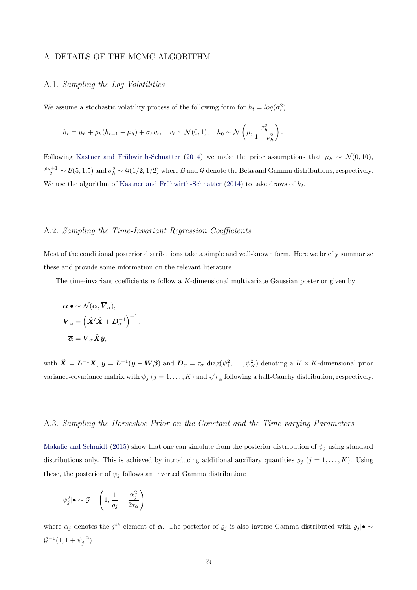#### A. DETAILS OF THE MCMC ALGORITHM

## A.1. Sampling the Log-Volatilities

We assume a stochastic volatility process of the following form for  $h_t = log(\sigma_t^2)$ :

$$
h_t = \mu_h + \rho_h (h_{t-1} - \mu_h) + \sigma_h v_t, \quad v_t \sim \mathcal{N}(0, 1), \quad h_0 \sim \mathcal{N}\left(\mu, \frac{\sigma_h^2}{1 - \rho_h^2}\right).
$$

Following Kastner and Frühwirth-Schnatter [\(2014\)](#page-23-27) we make the prior assumptions that  $\mu_h \sim \mathcal{N}(0, 10)$ ,  $\frac{\rho_h+1}{2} \sim \mathcal{B}(5, 1.5)$  and  $\sigma_h^2 \sim \mathcal{G}(1/2, 1/2)$  where  $\mathcal B$  and  $\mathcal G$  denote the Beta and Gamma distributions, respectively. We use the algorithm of Kastner and Frühwirth-Schnatter [\(2014\)](#page-23-27) to take draws of  $h_t$ .

## A.2. Sampling the Time-Invariant Regression Coefficients

Most of the conditional posterior distributions take a simple and well-known form. Here we briefly summarize these and provide some information on the relevant literature.

The time-invariant coefficients  $\alpha$  follow a K-dimensional multivariate Gaussian posterior given by

$$
\alpha | \bullet \sim \mathcal{N}(\overline{\alpha}, \overline{V}_{\alpha}),
$$
  

$$
\overline{V}_{\alpha} = \left(\tilde{X}'\tilde{X} + D_{\alpha}^{-1}\right)^{-1},
$$
  

$$
\overline{\alpha} = \overline{V}_{\alpha}\tilde{X}\hat{y},
$$

with  $\tilde{\mathbf{X}} = \mathbf{L}^{-1}\mathbf{X}$ ,  $\hat{\mathbf{y}} = \mathbf{L}^{-1}(\mathbf{y} - \mathbf{W}\boldsymbol{\beta})$  and  $\mathbf{D}_{\alpha} = \tau_{\alpha} \text{ diag}(\psi_1^2, \dots, \psi_K^2)$  denoting a  $K \times K$ -dimensional prior variance-covariance matrix with  $\psi_j$   $(j = 1, ..., K)$  and  $\sqrt{\tau}_\alpha$  following a half-Cauchy distribution, respectively.

#### A.3. Sampling the Horseshoe Prior on the Constant and the Time-varying Parameters

[Makalic and Schmidt](#page-23-28) [\(2015\)](#page-23-28) show that one can simulate from the posterior distribution of  $\psi_j$  using standard distributions only. This is achieved by introducing additional auxiliary quantities  $\rho_j$   $(j = 1, ..., K)$ . Using these, the posterior of  $\psi_j$  follows an inverted Gamma distribution:

$$
\psi_j^2 | \bullet \sim \mathcal{G}^{-1} \left( 1, \frac{1}{\varrho_j} + \frac{\alpha_j^2}{2\tau_\alpha} \right)
$$

where  $\alpha_j$  denotes the j<sup>th</sup> element of  $\alpha$ . The posterior of  $\varrho_j$  is also inverse Gamma distributed with  $\varrho_j|\bullet \sim$  $\mathcal{G}^{-1}(1, 1 + \psi_j^{-2}).$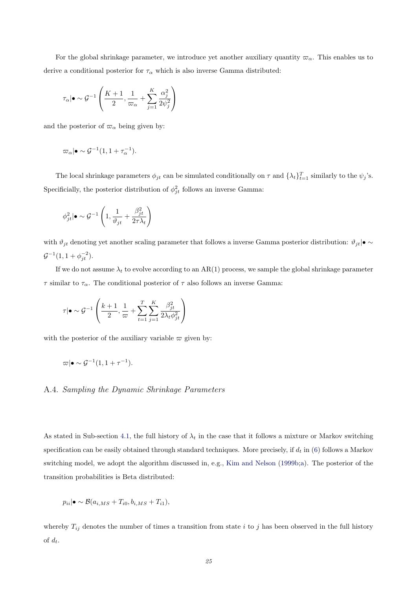For the global shrinkage parameter, we introduce yet another auxiliary quantity  $\varpi_{\alpha}$ . This enables us to derive a conditional posterior for  $\tau_{\alpha}$  which is also inverse Gamma distributed:

$$
\tau_{\alpha}|\bullet \sim \mathcal{G}^{-1}\left(\frac{K+1}{2}, \frac{1}{\varpi_{\alpha}} + \sum_{j=1}^{K} \frac{\alpha_{j}^{2}}{2\psi_{j}^{2}}\right)
$$

and the posterior of  $\varpi_{\alpha}$  being given by:

$$
\varpi_{\alpha}|\bullet \sim \mathcal{G}^{-1}(1, 1 + \tau_{\alpha}^{-1}).
$$

The local shrinkage parameters  $\phi_{jt}$  can be simulated conditionally on  $\tau$  and  $\{\lambda_t\}_{t=1}^T$  similarly to the  $\psi_j$ 's. Specificially, the posterior distribution of  $\phi_{jt}^2$  follows an inverse Gamma:

$$
\phi_{jt}^2 | \bullet \sim \mathcal{G}^{-1} \left( 1, \frac{1}{\vartheta_{jt}} + \frac{\beta_{jt}^2}{2\tau\lambda_t} \right)
$$

with  $\vartheta_{jt}$  denoting yet another scaling parameter that follows a inverse Gamma posterior distribution:  $\vartheta_{jt}|\bullet \sim$  $\mathcal{G}^{-1}(1, 1 + \phi_{jt}^{-2}).$ 

If we do not assume  $\lambda_t$  to evolve according to an AR(1) process, we sample the global shrinkage parameter τ similar to τα. The conditional posterior of τ also follows an inverse Gamma:

$$
\tau | \bullet \sim \mathcal{G}^{-1}\left(\frac{k+1}{2}, \frac{1}{\varpi} + \sum_{t=1}^{T} \sum_{j=1}^{K} \frac{\beta_{jt}^2}{2\lambda_t \phi_{jt}^2}\right)
$$

with the posterior of the auxiliary variable  $\varpi$  given by:

$$
\varpi|\bullet\sim \mathcal{G}^{-1}(1,1+\tau^{-1}).
$$

## A.4. Sampling the Dynamic Shrinkage Parameters

As stated in Sub-section [4.1,](#page-8-0) the full history of  $\lambda_t$  in the case that it follows a mixture or Markov switching specification can be easily obtained through standard techniques. More precisely, if  $d_t$  in [\(6\)](#page-10-0) follows a Markov switching model, we adopt the algorithm discussed in, e.g., [Kim and Nelson](#page-23-29) [\(1999b](#page-23-29)[;a\)](#page-23-30). The posterior of the transition probabilities is Beta distributed:

$$
p_{ii} | \bullet \sim \mathcal{B}(a_{i,MS} + T_{i0}, b_{i,MS} + T_{i1}),
$$

whereby  $T_{ij}$  denotes the number of times a transition from state i to j has been observed in the full history of  $d_t$ .